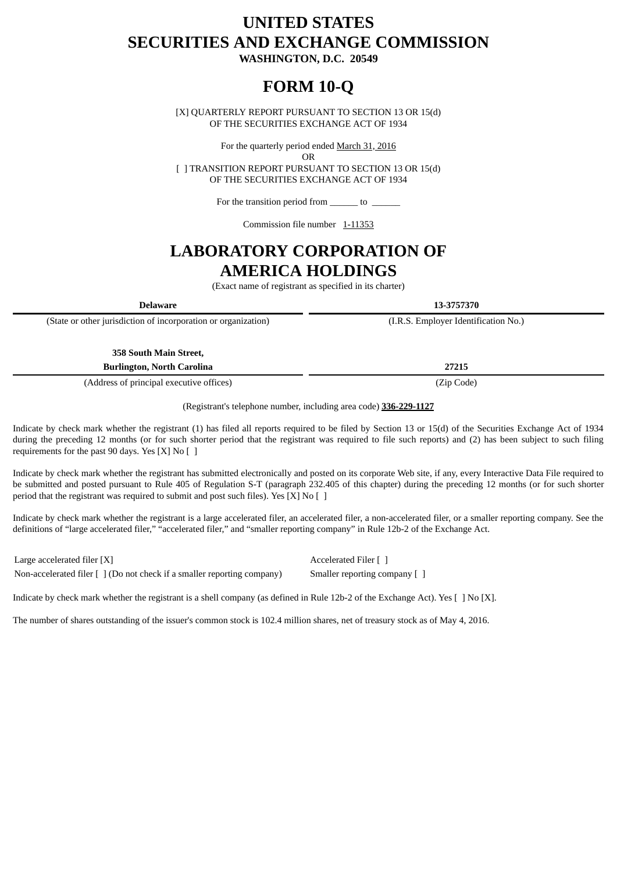# **UNITED STATES SECURITIES AND EXCHANGE COMMISSION**

**WASHINGTON, D.C. 20549**

# **FORM 10-Q**

[X] QUARTERLY REPORT PURSUANT TO SECTION 13 OR 15(d) OF THE SECURITIES EXCHANGE ACT OF 1934

For the quarterly period ended March 31, 2016

OR [ ] TRANSITION REPORT PURSUANT TO SECTION 13 OR 15(d) OF THE SECURITIES EXCHANGE ACT OF 1934

For the transition period from \_\_\_\_\_\_\_ to \_

Commission file number 1-11353

# **LABORATORY CORPORATION OF AMERICA HOLDINGS**

(Exact name of registrant as specified in its charter)

**Delaware 13-3757370**

(State or other jurisdiction of incorporation or organization) (I.R.S. Employer Identification No.)

**358 South Main Street, Burlington, North Carolina 27215**

(Address of principal executive offices) (Zip Code)

(Registrant's telephone number, including area code) **336-229-1127**

Indicate by check mark whether the registrant (1) has filed all reports required to be filed by Section 13 or 15(d) of the Securities Exchange Act of 1934 during the preceding 12 months (or for such shorter period that the registrant was required to file such reports) and (2) has been subject to such filing requirements for the past 90 days. Yes  $[X]$  No  $[ \ ]$ 

Indicate by check mark whether the registrant has submitted electronically and posted on its corporate Web site, if any, every Interactive Data File required to be submitted and posted pursuant to Rule 405 of Regulation S-T (paragraph 232.405 of this chapter) during the preceding 12 months (or for such shorter period that the registrant was required to submit and post such files). Yes [X] No [ ]

Indicate by check mark whether the registrant is a large accelerated filer, an accelerated filer, a non-accelerated filer, or a smaller reporting company. See the definitions of "large accelerated filer," "accelerated filer," and "smaller reporting company" in Rule 12b-2 of the Exchange Act.

Large accelerated filer [X] and the contract of the contract of the Accelerated Filer [ ] Non-accelerated filer  $\lceil \cdot \rceil$  (Do not check if a smaller reporting company) Smaller reporting company  $\lceil \cdot \rceil$ 

Indicate by check mark whether the registrant is a shell company (as defined in Rule 12b-2 of the Exchange Act). Yes [ ] No [X].

The number of shares outstanding of the issuer's common stock is 102.4 million shares, net of treasury stock as of May 4, 2016.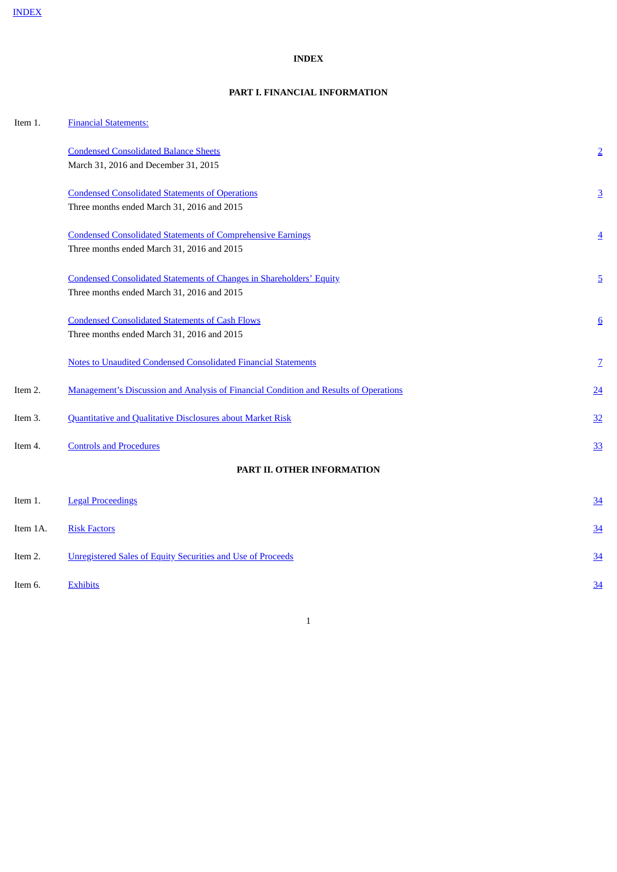# **INDEX**

# **PART I. FINANCIAL INFORMATION**

<span id="page-1-0"></span>

| Item 1.  | <b>Financial Statements:</b>                                                          |                 |
|----------|---------------------------------------------------------------------------------------|-----------------|
|          | <b>Condensed Consolidated Balance Sheets</b>                                          | $\overline{2}$  |
|          | March 31, 2016 and December 31, 2015                                                  |                 |
|          | <b>Condensed Consolidated Statements of Operations</b>                                | $\overline{3}$  |
|          | Three months ended March 31, 2016 and 2015                                            |                 |
|          | <b>Condensed Consolidated Statements of Comprehensive Earnings</b>                    | $\overline{4}$  |
|          | Three months ended March 31, 2016 and 2015                                            |                 |
|          | <b>Condensed Consolidated Statements of Changes in Shareholders' Equity</b>           | $\overline{5}$  |
|          | Three months ended March 31, 2016 and 2015                                            |                 |
|          | <b>Condensed Consolidated Statements of Cash Flows</b>                                | $6\overline{6}$ |
|          | Three months ended March 31, 2016 and 2015                                            |                 |
|          | <b>Notes to Unaudited Condensed Consolidated Financial Statements</b>                 | $\overline{Z}$  |
| Item 2.  | Management's Discussion and Analysis of Financial Condition and Results of Operations | 24              |
| Item 3.  | <b>Quantitative and Qualitative Disclosures about Market Risk</b>                     | 32              |
| Item 4.  | <b>Controls and Procedures</b>                                                        | 33              |
|          | PART II. OTHER INFORMATION                                                            |                 |
| Item 1.  | <b>Legal Proceedings</b>                                                              | 34              |
| Item 1A. | <b>Risk Factors</b>                                                                   | 34              |
| Item 2.  | <b>Unregistered Sales of Equity Securities and Use of Proceeds</b>                    | 34              |
| Item 6.  | <b>Exhibits</b>                                                                       | 34              |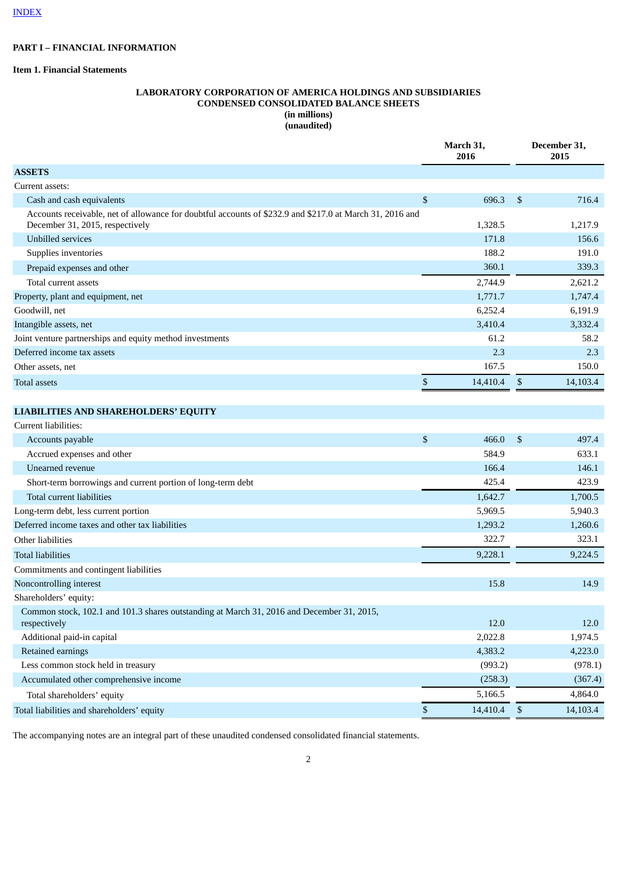# <span id="page-2-0"></span>**PART I – FINANCIAL INFORMATION**

# <span id="page-2-1"></span>**Item 1. Financial Statements**

# **LABORATORY CORPORATION OF AMERICA HOLDINGS AND SUBSIDIARIES CONDENSED CONSOLIDATED BALANCE SHEETS (in millions) (unaudited)**

|                                                                                                                                             |                           | March 31,<br>2016 |      | December 31,<br>2015 |
|---------------------------------------------------------------------------------------------------------------------------------------------|---------------------------|-------------------|------|----------------------|
| <b>ASSETS</b>                                                                                                                               |                           |                   |      |                      |
| Current assets:                                                                                                                             |                           |                   |      |                      |
| Cash and cash equivalents                                                                                                                   | \$                        | 696.3             | \$   | 716.4                |
| Accounts receivable, net of allowance for doubtful accounts of \$232.9 and \$217.0 at March 31, 2016 and<br>December 31, 2015, respectively |                           | 1,328.5           |      | 1,217.9              |
| Unbilled services                                                                                                                           |                           | 171.8             |      | 156.6                |
| Supplies inventories                                                                                                                        |                           | 188.2             |      | 191.0                |
| Prepaid expenses and other                                                                                                                  |                           | 360.1             |      | 339.3                |
| Total current assets                                                                                                                        |                           | 2,744.9           |      | 2,621.2              |
| Property, plant and equipment, net                                                                                                          |                           | 1,771.7           |      | 1,747.4              |
| Goodwill, net                                                                                                                               |                           | 6,252.4           |      | 6,191.9              |
| Intangible assets, net                                                                                                                      |                           | 3,410.4           |      | 3,332.4              |
| Joint venture partnerships and equity method investments                                                                                    |                           | 61.2              |      | 58.2                 |
| Deferred income tax assets                                                                                                                  |                           | 2.3               |      | 2.3                  |
| Other assets, net                                                                                                                           |                           | 167.5             |      | 150.0                |
| <b>Total assets</b>                                                                                                                         | $\mathbb{S}$              | 14,410.4          | \$   | 14,103.4             |
|                                                                                                                                             |                           |                   |      |                      |
| <b>LIABILITIES AND SHAREHOLDERS' EQUITY</b>                                                                                                 |                           |                   |      |                      |
| Current liabilities:                                                                                                                        |                           |                   |      |                      |
| Accounts payable                                                                                                                            | $\boldsymbol{\mathsf{S}}$ | 466.0             | \$   | 497.4                |
| Accrued expenses and other                                                                                                                  |                           | 584.9             |      | 633.1                |
| Unearned revenue                                                                                                                            |                           | 166.4             |      | 146.1                |
| Short-term borrowings and current portion of long-term debt                                                                                 |                           | 425.4             |      | 423.9                |
| Total current liabilities                                                                                                                   |                           | 1,642.7           |      | 1,700.5              |
| Long-term debt, less current portion                                                                                                        |                           | 5,969.5           |      | 5,940.3              |
| Deferred income taxes and other tax liabilities                                                                                             |                           | 1,293.2           |      | 1,260.6              |
| Other liabilities                                                                                                                           |                           | 322.7             |      | 323.1                |
| <b>Total liabilities</b>                                                                                                                    |                           | 9,228.1           |      | 9,224.5              |
| Commitments and contingent liabilities                                                                                                      |                           |                   |      |                      |
| Noncontrolling interest                                                                                                                     |                           | 15.8              |      | 14.9                 |
| Shareholders' equity:                                                                                                                       |                           |                   |      |                      |
| Common stock, 102.1 and 101.3 shares outstanding at March 31, 2016 and December 31, 2015,<br>respectively                                   |                           | 12.0              |      | 12.0                 |
| Additional paid-in capital                                                                                                                  |                           | 2,022.8           |      | 1,974.5              |
| Retained earnings                                                                                                                           |                           | 4,383.2           |      | 4,223.0              |
| Less common stock held in treasury                                                                                                          |                           | (993.2)           |      | (978.1)              |
| Accumulated other comprehensive income                                                                                                      |                           | (258.3)           |      | (367.4)              |
| Total shareholders' equity                                                                                                                  |                           | 5,166.5           |      | 4,864.0              |
| Total liabilities and shareholders' equity                                                                                                  | $\mathbb{S}$              | 14,410.4          | $\$$ | 14,103.4             |
|                                                                                                                                             |                           |                   |      |                      |

The accompanying notes are an integral part of these unaudited condensed consolidated financial statements.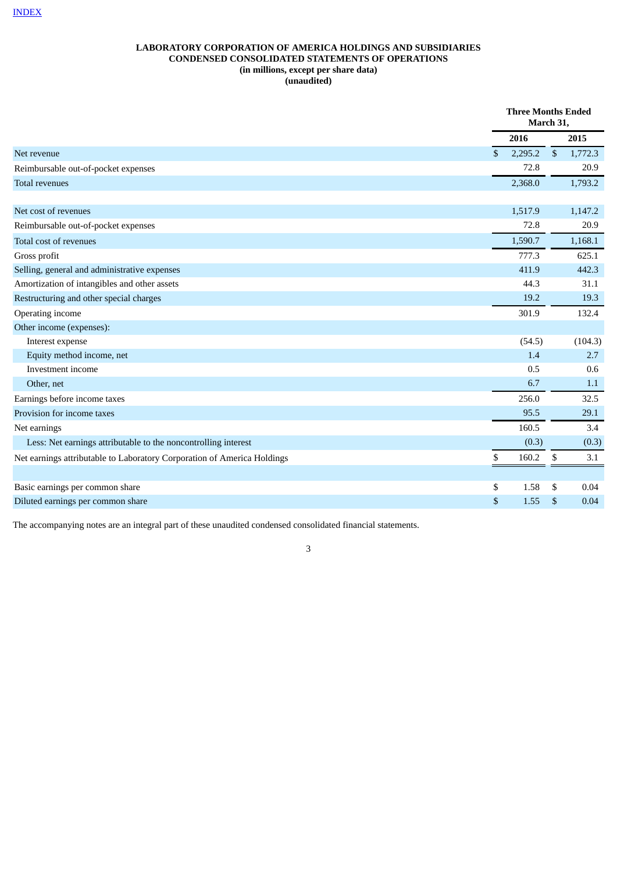# **LABORATORY CORPORATION OF AMERICA HOLDINGS AND SUBSIDIARIES CONDENSED CONSOLIDATED STATEMENTS OF OPERATIONS (in millions, except per share data) (unaudited)**

<span id="page-3-0"></span>

|                                                                         | March 31,     |               | <b>Three Months Ended</b> |  |
|-------------------------------------------------------------------------|---------------|---------------|---------------------------|--|
|                                                                         | 2016          |               | 2015                      |  |
| Net revenue                                                             | \$<br>2,295.2 | $\sqrt[6]{3}$ | 1,772.3                   |  |
| Reimbursable out-of-pocket expenses                                     | 72.8          |               | 20.9                      |  |
| <b>Total revenues</b>                                                   | 2,368.0       |               | 1,793.2                   |  |
|                                                                         |               |               |                           |  |
| Net cost of revenues                                                    | 1,517.9       |               | 1,147.2                   |  |
| Reimbursable out-of-pocket expenses                                     | 72.8          |               | 20.9                      |  |
| Total cost of revenues                                                  | 1,590.7       |               | 1,168.1                   |  |
| Gross profit                                                            | 777.3         |               | 625.1                     |  |
| Selling, general and administrative expenses                            | 411.9         |               | 442.3                     |  |
| Amortization of intangibles and other assets                            | 44.3          |               | 31.1                      |  |
| Restructuring and other special charges                                 | 19.2          |               | 19.3                      |  |
| Operating income                                                        | 301.9         |               | 132.4                     |  |
| Other income (expenses):                                                |               |               |                           |  |
| Interest expense                                                        | (54.5)        |               | (104.3)                   |  |
| Equity method income, net                                               | 1.4           |               | 2.7                       |  |
| Investment income                                                       | 0.5           |               | 0.6                       |  |
| Other, net                                                              | 6.7           |               | 1.1                       |  |
| Earnings before income taxes                                            | 256.0         |               | 32.5                      |  |
| Provision for income taxes                                              | 95.5          |               | 29.1                      |  |
| Net earnings                                                            | 160.5         |               | 3.4                       |  |
| Less: Net earnings attributable to the noncontrolling interest          | (0.3)         |               | (0.3)                     |  |
| Net earnings attributable to Laboratory Corporation of America Holdings | \$<br>160.2   | \$            | 3.1                       |  |
|                                                                         |               |               |                           |  |
| Basic earnings per common share                                         | \$<br>1.58    | \$            | 0.04                      |  |
| Diluted earnings per common share                                       | \$<br>1.55    | \$            | 0.04                      |  |

The accompanying notes are an integral part of these unaudited condensed consolidated financial statements.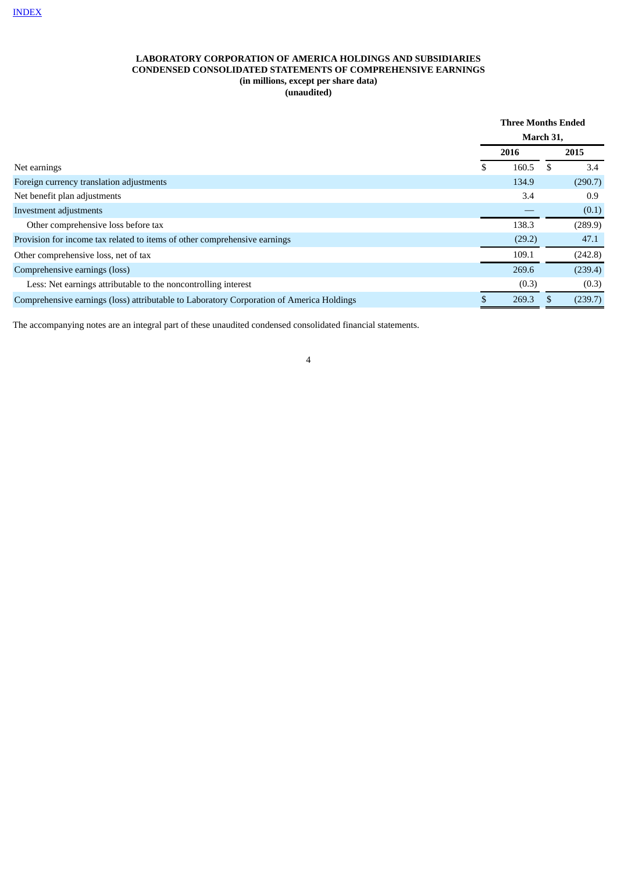### **LABORATORY CORPORATION OF AMERICA HOLDINGS AND SUBSIDIARIES CONDENSED CONSOLIDATED STATEMENTS OF COMPREHENSIVE EARNINGS (in millions, except per share data) (unaudited)**

<span id="page-4-0"></span>

|                                                                                          |   | <b>Three Months Ended</b><br>March 31, |    |         |  |
|------------------------------------------------------------------------------------------|---|----------------------------------------|----|---------|--|
|                                                                                          |   | 2016                                   |    | 2015    |  |
| Net earnings                                                                             | S | 160.5                                  | .S | 3.4     |  |
| Foreign currency translation adjustments                                                 |   | 134.9                                  |    | (290.7) |  |
| Net benefit plan adjustments                                                             |   | 3.4                                    |    | 0.9     |  |
| Investment adjustments                                                                   |   |                                        |    | (0.1)   |  |
| Other comprehensive loss before tax                                                      |   | 138.3                                  |    | (289.9) |  |
| Provision for income tax related to items of other comprehensive earnings                |   | (29.2)                                 |    | 47.1    |  |
| Other comprehensive loss, net of tax                                                     |   | 109.1                                  |    | (242.8) |  |
| Comprehensive earnings (loss)                                                            |   | 269.6                                  |    | (239.4) |  |
| Less: Net earnings attributable to the noncontrolling interest                           |   | (0.3)                                  |    | (0.3)   |  |
| Comprehensive earnings (loss) attributable to Laboratory Corporation of America Holdings |   | 269.3                                  |    | (239.7) |  |

The accompanying notes are an integral part of these unaudited condensed consolidated financial statements.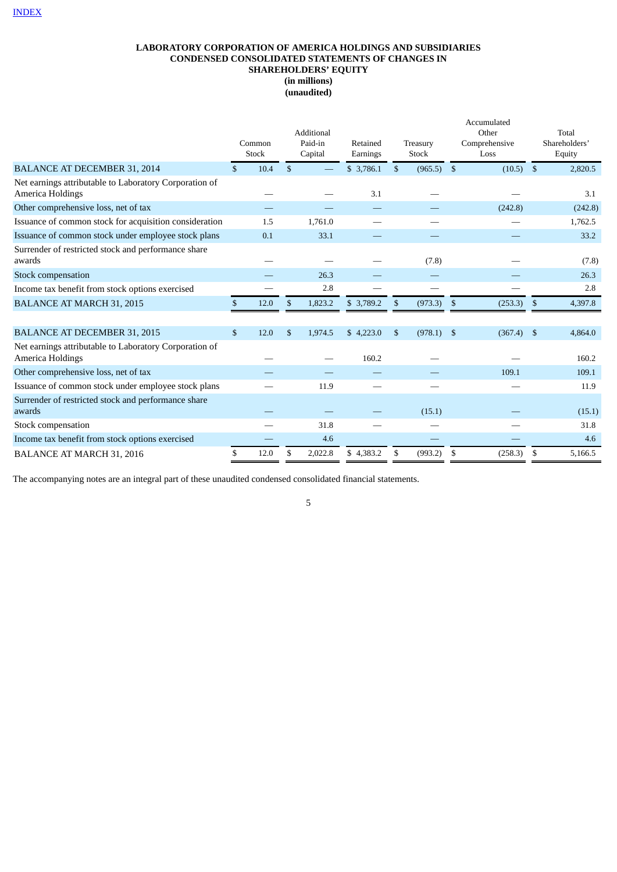# **LABORATORY CORPORATION OF AMERICA HOLDINGS AND SUBSIDIARIES CONDENSED CONSOLIDATED STATEMENTS OF CHANGES IN SHAREHOLDERS' EQUITY (in millions) (unaudited)**

<span id="page-5-0"></span>

|                                                                            | Common<br>Stock |      | Additional<br>Paid-in<br>Capital |         | Retained<br>Earnings |                | Treasury<br>Stock |            | Accumulated<br>Other<br>Comprehensive<br>Loss |                | Total<br>Shareholders'<br>Equity |
|----------------------------------------------------------------------------|-----------------|------|----------------------------------|---------|----------------------|----------------|-------------------|------------|-----------------------------------------------|----------------|----------------------------------|
| <b>BALANCE AT DECEMBER 31, 2014</b>                                        | $\mathbf{s}$    | 10.4 | $\mathbb{S}$                     |         | \$3,786.1            | $\mathfrak{F}$ | (965.5)           | $\sqrt{5}$ | (10.5)                                        | \$             | 2,820.5                          |
| Net earnings attributable to Laboratory Corporation of<br>America Holdings |                 |      |                                  |         | 3.1                  |                |                   |            |                                               |                | 3.1                              |
| Other comprehensive loss, net of tax                                       |                 |      |                                  |         |                      |                |                   |            | (242.8)                                       |                | (242.8)                          |
| Issuance of common stock for acquisition consideration                     |                 | 1.5  |                                  | 1,761.0 |                      |                |                   |            |                                               |                | 1,762.5                          |
| Issuance of common stock under employee stock plans                        |                 | 0.1  |                                  | 33.1    |                      |                |                   |            |                                               |                | 33.2                             |
| Surrender of restricted stock and performance share<br>awards              |                 |      |                                  |         |                      |                | (7.8)             |            |                                               |                | (7.8)                            |
| <b>Stock compensation</b>                                                  |                 |      |                                  | 26.3    |                      |                |                   |            |                                               |                | 26.3                             |
| Income tax benefit from stock options exercised                            |                 |      |                                  | 2.8     |                      |                |                   |            |                                               |                | 2.8                              |
| <b>BALANCE AT MARCH 31, 2015</b>                                           | \$              | 12.0 | \$                               | 1,823.2 | \$3,789.2            | $\mathbb{S}$   | (973.3)           | \$         | (253.3)                                       | $\mathfrak{S}$ | 4,397.8                          |
|                                                                            |                 |      |                                  |         |                      |                |                   |            |                                               |                |                                  |
| <b>BALANCE AT DECEMBER 31, 2015</b>                                        | $\mathbf{s}$    | 12.0 | $\mathbf{\$}$                    | 1,974.5 | \$4,223.0            | $\mathfrak{L}$ | $(978.1)$ \$      |            | (367.4)                                       | $\mathfrak{s}$ | 4,864.0                          |
| Net earnings attributable to Laboratory Corporation of<br>America Holdings |                 |      |                                  |         | 160.2                |                |                   |            |                                               |                | 160.2                            |
| Other comprehensive loss, net of tax                                       |                 |      |                                  |         |                      |                |                   |            | 109.1                                         |                | 109.1                            |
| Issuance of common stock under employee stock plans                        |                 |      |                                  | 11.9    |                      |                |                   |            |                                               |                | 11.9                             |
| Surrender of restricted stock and performance share<br>awards              |                 |      |                                  |         |                      |                | (15.1)            |            |                                               |                | (15.1)                           |
| Stock compensation                                                         |                 |      |                                  | 31.8    |                      |                |                   |            |                                               |                | 31.8                             |
| Income tax benefit from stock options exercised                            |                 |      |                                  | 4.6     |                      |                |                   |            |                                               |                | 4.6                              |
| <b>BALANCE AT MARCH 31, 2016</b>                                           | \$              | 12.0 | \$                               | 2,022.8 | \$4,383.2            | \$             | (993.2)           | \$         | (258.3)                                       | \$             | 5,166.5                          |

The accompanying notes are an integral part of these unaudited condensed consolidated financial statements.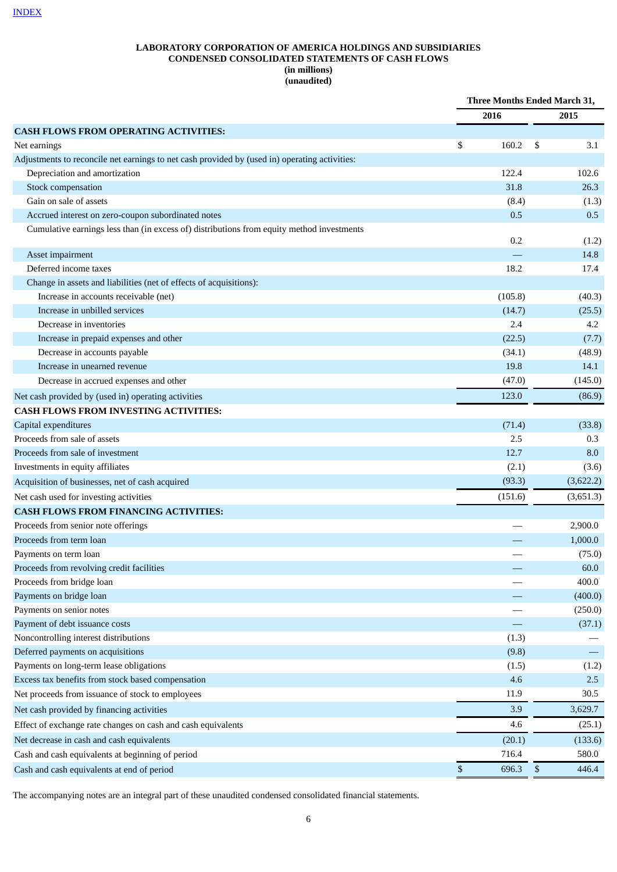# **LABORATORY CORPORATION OF AMERICA HOLDINGS AND SUBSIDIARIES CONDENSED CONSOLIDATED STATEMENTS OF CASH FLOWS (in millions) (unaudited)**

<span id="page-6-0"></span>

|                                                                                               | <b>Three Months Ended March 31,</b> |    |           |
|-----------------------------------------------------------------------------------------------|-------------------------------------|----|-----------|
|                                                                                               | 2016                                |    | 2015      |
| <b>CASH FLOWS FROM OPERATING ACTIVITIES:</b>                                                  |                                     |    |           |
| Net earnings                                                                                  | \$<br>160.2                         | \$ | 3.1       |
| Adjustments to reconcile net earnings to net cash provided by (used in) operating activities: |                                     |    |           |
| Depreciation and amortization                                                                 | 122.4                               |    | 102.6     |
| Stock compensation                                                                            | 31.8                                |    | 26.3      |
| Gain on sale of assets                                                                        | (8.4)                               |    | (1.3)     |
| Accrued interest on zero-coupon subordinated notes                                            | 0.5                                 |    | 0.5       |
| Cumulative earnings less than (in excess of) distributions from equity method investments     | 0.2                                 |    | (1.2)     |
| Asset impairment                                                                              |                                     |    | 14.8      |
| Deferred income taxes                                                                         | 18.2                                |    | 17.4      |
| Change in assets and liabilities (net of effects of acquisitions):                            |                                     |    |           |
| Increase in accounts receivable (net)                                                         | (105.8)                             |    | (40.3)    |
| Increase in unbilled services                                                                 | (14.7)                              |    | (25.5)    |
| Decrease in inventories                                                                       | 2.4                                 |    | 4.2       |
| Increase in prepaid expenses and other                                                        | (22.5)                              |    | (7.7)     |
| Decrease in accounts payable                                                                  | (34.1)                              |    | (48.9)    |
| Increase in unearned revenue                                                                  | 19.8                                |    | 14.1      |
| Decrease in accrued expenses and other                                                        | (47.0)                              |    | (145.0)   |
| Net cash provided by (used in) operating activities                                           | 123.0                               |    | (86.9)    |
| <b>CASH FLOWS FROM INVESTING ACTIVITIES:</b>                                                  |                                     |    |           |
| Capital expenditures                                                                          | (71.4)                              |    | (33.8)    |
| Proceeds from sale of assets                                                                  | 2.5                                 |    | 0.3       |
| Proceeds from sale of investment                                                              | 12.7                                |    | 8.0       |
| Investments in equity affiliates                                                              | (2.1)                               |    | (3.6)     |
| Acquisition of businesses, net of cash acquired                                               | (93.3)                              |    | (3,622.2) |
| Net cash used for investing activities                                                        | (151.6)                             |    | (3,651.3) |
| <b>CASH FLOWS FROM FINANCING ACTIVITIES:</b>                                                  |                                     |    |           |
| Proceeds from senior note offerings                                                           |                                     |    | 2,900.0   |
| Proceeds from term loan                                                                       |                                     |    | 1,000.0   |
| Payments on term loan                                                                         |                                     |    | (75.0)    |
| Proceeds from revolving credit facilities                                                     |                                     |    | 60.0      |
| Proceeds from bridge loan                                                                     |                                     |    | 400.0     |
| Payments on bridge loan                                                                       |                                     |    | (400.0)   |
| Payments on senior notes                                                                      |                                     |    | (250.0)   |
| Payment of debt issuance costs                                                                |                                     |    | (37.1)    |
| Noncontrolling interest distributions                                                         | (1.3)                               |    |           |
| Deferred payments on acquisitions                                                             | (9.8)                               |    |           |
| Payments on long-term lease obligations                                                       | (1.5)                               |    | (1.2)     |
| Excess tax benefits from stock based compensation                                             | 4.6                                 |    | 2.5       |
| Net proceeds from issuance of stock to employees                                              | 11.9                                |    | 30.5      |
| Net cash provided by financing activities                                                     | 3.9                                 |    | 3,629.7   |
| Effect of exchange rate changes on cash and cash equivalents                                  | 4.6                                 |    | (25.1)    |
|                                                                                               |                                     |    |           |
| Net decrease in cash and cash equivalents                                                     | (20.1)                              |    | (133.6)   |
| Cash and cash equivalents at beginning of period                                              | 716.4                               |    | 580.0     |
| Cash and cash equivalents at end of period                                                    | \$<br>696.3                         | \$ | 446.4     |

The accompanying notes are an integral part of these unaudited condensed consolidated financial statements.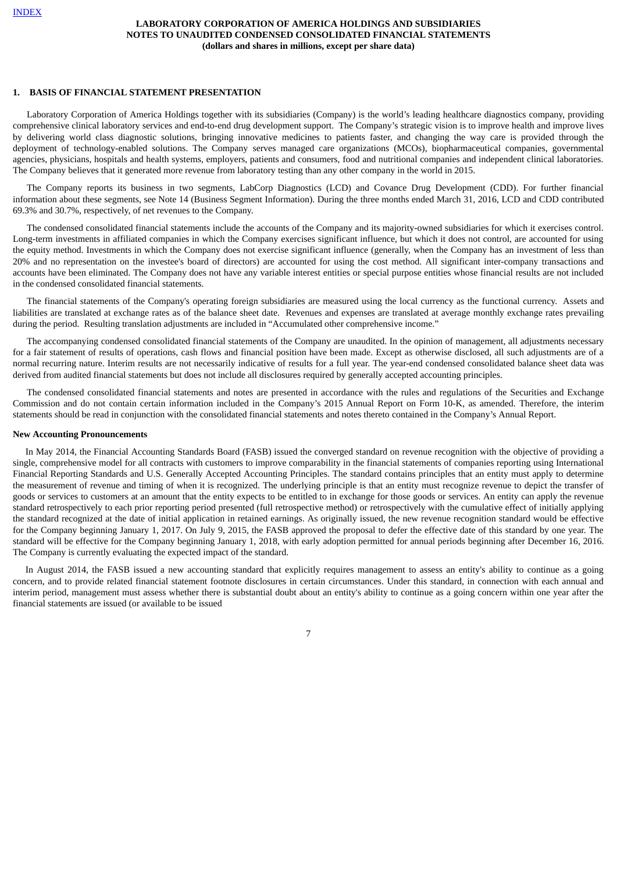#### <span id="page-7-0"></span>**1. BASIS OF FINANCIAL STATEMENT PRESENTATION**

Laboratory Corporation of America Holdings together with its subsidiaries (Company) is the world's leading healthcare diagnostics company, providing comprehensive clinical laboratory services and end-to-end drug development support. The Company's strategic vision is to improve health and improve lives by delivering world class diagnostic solutions, bringing innovative medicines to patients faster, and changing the way care is provided through the deployment of technology-enabled solutions. The Company serves managed care organizations (MCOs), biopharmaceutical companies, governmental agencies, physicians, hospitals and health systems, employers, patients and consumers, food and nutritional companies and independent clinical laboratories. The Company believes that it generated more revenue from laboratory testing than any other company in the world in 2015.

The Company reports its business in two segments, LabCorp Diagnostics (LCD) and Covance Drug Development (CDD). For further financial information about these segments, see Note 14 (Business Segment Information). During the three months ended March 31, 2016, LCD and CDD contributed 69.3% and 30.7%, respectively, of net revenues to the Company.

The condensed consolidated financial statements include the accounts of the Company and its majority-owned subsidiaries for which it exercises control. Long-term investments in affiliated companies in which the Company exercises significant influence, but which it does not control, are accounted for using the equity method. Investments in which the Company does not exercise significant influence (generally, when the Company has an investment of less than 20% and no representation on the investee's board of directors) are accounted for using the cost method. All significant inter-company transactions and accounts have been eliminated. The Company does not have any variable interest entities or special purpose entities whose financial results are not included in the condensed consolidated financial statements.

The financial statements of the Company's operating foreign subsidiaries are measured using the local currency as the functional currency. Assets and liabilities are translated at exchange rates as of the balance sheet date. Revenues and expenses are translated at average monthly exchange rates prevailing during the period. Resulting translation adjustments are included in "Accumulated other comprehensive income."

The accompanying condensed consolidated financial statements of the Company are unaudited. In the opinion of management, all adjustments necessary for a fair statement of results of operations, cash flows and financial position have been made. Except as otherwise disclosed, all such adjustments are of a normal recurring nature. Interim results are not necessarily indicative of results for a full year. The year-end condensed consolidated balance sheet data was derived from audited financial statements but does not include all disclosures required by generally accepted accounting principles.

The condensed consolidated financial statements and notes are presented in accordance with the rules and regulations of the Securities and Exchange Commission and do not contain certain information included in the Company's 2015 Annual Report on Form 10-K, as amended. Therefore, the interim statements should be read in conjunction with the consolidated financial statements and notes thereto contained in the Company's Annual Report.

#### **New Accounting Pronouncements**

In May 2014, the Financial Accounting Standards Board (FASB) issued the converged standard on revenue recognition with the objective of providing a single, comprehensive model for all contracts with customers to improve comparability in the financial statements of companies reporting using International Financial Reporting Standards and U.S. Generally Accepted Accounting Principles. The standard contains principles that an entity must apply to determine the measurement of revenue and timing of when it is recognized. The underlying principle is that an entity must recognize revenue to depict the transfer of goods or services to customers at an amount that the entity expects to be entitled to in exchange for those goods or services. An entity can apply the revenue standard retrospectively to each prior reporting period presented (full retrospective method) or retrospectively with the cumulative effect of initially applying the standard recognized at the date of initial application in retained earnings. As originally issued, the new revenue recognition standard would be effective for the Company beginning January 1, 2017. On July 9, 2015, the FASB approved the proposal to defer the effective date of this standard by one year. The standard will be effective for the Company beginning January 1, 2018, with early adoption permitted for annual periods beginning after December 16, 2016. The Company is currently evaluating the expected impact of the standard.

In August 2014, the FASB issued a new accounting standard that explicitly requires management to assess an entity's ability to continue as a going concern, and to provide related financial statement footnote disclosures in certain circumstances. Under this standard, in connection with each annual and interim period, management must assess whether there is substantial doubt about an entity's ability to continue as a going concern within one year after the financial statements are issued (or available to be issued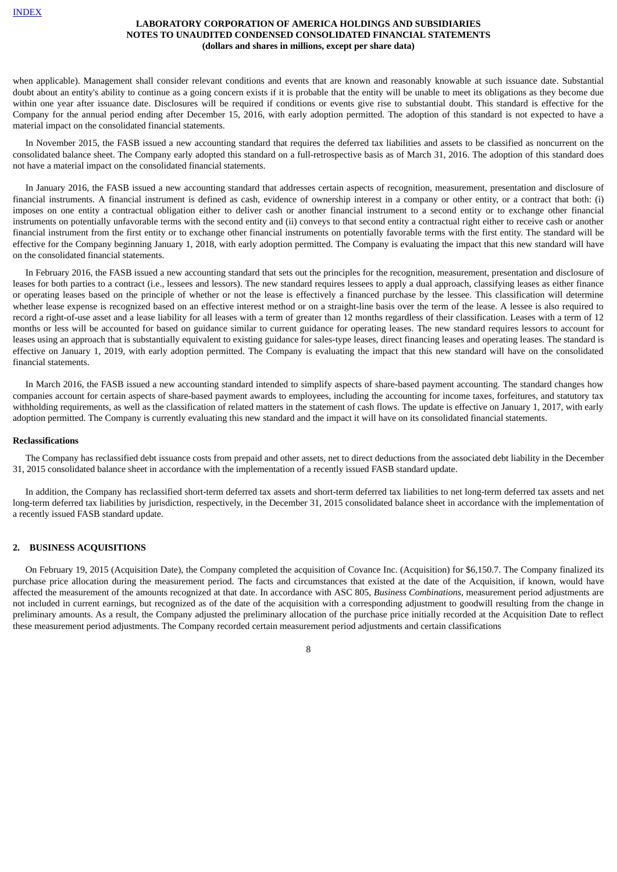when applicable). Management shall consider relevant conditions and events that are known and reasonably knowable at such issuance date. Substantial doubt about an entity's ability to continue as a going concern exists if it is probable that the entity will be unable to meet its obligations as they become due within one year after issuance date. Disclosures will be required if conditions or events give rise to substantial doubt. This standard is effective for the Company for the annual period ending after December 15, 2016, with early adoption permitted. The adoption of this standard is not expected to have a material impact on the consolidated financial statements.

In November 2015, the FASB issued a new accounting standard that requires the deferred tax liabilities and assets to be classified as noncurrent on the consolidated balance sheet. The Company early adopted this standard on a full-retrospective basis as of March 31, 2016. The adoption of this standard does not have a material impact on the consolidated financial statements.

In January 2016, the FASB issued a new accounting standard that addresses certain aspects of recognition, measurement, presentation and disclosure of financial instruments. A financial instrument is defined as cash, evidence of ownership interest in a company or other entity, or a contract that both: (i) imposes on one entity a contractual obligation either to deliver cash or another financial instrument to a second entity or to exchange other financial instruments on potentially unfavorable terms with the second entity and (ii) conveys to that second entity a contractual right either to receive cash or another financial instrument from the first entity or to exchange other financial instruments on potentially favorable terms with the first entity. The standard will be effective for the Company beginning January 1, 2018, with early adoption permitted. The Company is evaluating the impact that this new standard will have on the consolidated financial statements.

In February 2016, the FASB issued a new accounting standard that sets out the principles for the recognition, measurement, presentation and disclosure of leases for both parties to a contract (i.e., lessees and lessors). The new standard requires lessees to apply a dual approach, classifying leases as either finance or operating leases based on the principle of whether or not the lease is effectively a financed purchase by the lessee. This classification will determine whether lease expense is recognized based on an effective interest method or on a straight-line basis over the term of the lease. A lessee is also required to record a right-of-use asset and a lease liability for all leases with a term of greater than 12 months regardless of their classification. Leases with a term of 12 months or less will be accounted for based on guidance similar to current guidance for operating leases. The new standard requires lessors to account for leases using an approach that is substantially equivalent to existing guidance for sales-type leases, direct financing leases and operating leases. The standard is effective on January 1, 2019, with early adoption permitted. The Company is evaluating the impact that this new standard will have on the consolidated financial statements.

In March 2016, the FASB issued a new accounting standard intended to simplify aspects of share-based payment accounting. The standard changes how companies account for certain aspects of share-based payment awards to employees, including the accounting for income taxes, forfeitures, and statutory tax withholding requirements, as well as the classification of related matters in the statement of cash flows. The update is effective on January 1, 2017, with early adoption permitted. The Company is currently evaluating this new standard and the impact it will have on its consolidated financial statements.

#### **Reclassifications**

The Company has reclassified debt issuance costs from prepaid and other assets, net to direct deductions from the associated debt liability in the December 31, 2015 consolidated balance sheet in accordance with the implementation of a recently issued FASB standard update.

In addition, the Company has reclassified short-term deferred tax assets and short-term deferred tax liabilities to net long-term deferred tax assets and net long-term deferred tax liabilities by jurisdiction, respectively, in the December 31, 2015 consolidated balance sheet in accordance with the implementation of a recently issued FASB standard update.

### **2. BUSINESS ACQUISITIONS**

On February 19, 2015 (Acquisition Date), the Company completed the acquisition of Covance Inc. (Acquisition) for \$6,150.7. The Company finalized its purchase price allocation during the measurement period. The facts and circumstances that existed at the date of the Acquisition, if known, would have affected the measurement of the amounts recognized at that date. In accordance with ASC 805, *Business Combinations*, measurement period adjustments are not included in current earnings, but recognized as of the date of the acquisition with a corresponding adjustment to goodwill resulting from the change in preliminary amounts. As a result, the Company adjusted the preliminary allocation of the purchase price initially recorded at the Acquisition Date to reflect these measurement period adjustments. The Company recorded certain measurement period adjustments and certain classifications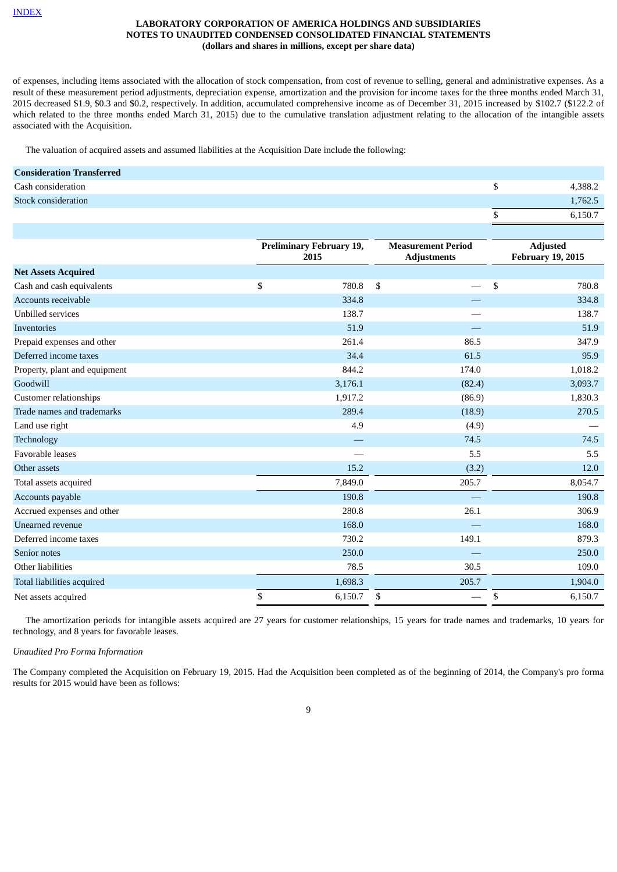of expenses, including items associated with the allocation of stock compensation, from cost of revenue to selling, general and administrative expenses. As a result of these measurement period adjustments, depreciation expense, amortization and the provision for income taxes for the three months ended March 31, 2015 decreased \$1.9, \$0.3 and \$0.2, respectively. In addition, accumulated comprehensive income as of December 31, 2015 increased by \$102.7 (\$122.2 of which related to the three months ended March 31, 2015) due to the cumulative translation adjustment relating to the allocation of the intangible assets associated with the Acquisition.

The valuation of acquired assets and assumed liabilities at the Acquisition Date include the following:

| <b>Consideration Transferred</b> |         |
|----------------------------------|---------|
| Cash consideration               | 4,388.2 |
| Stock consideration              | 1,762.5 |
|                                  | 6,150.7 |

|                               | <b>Preliminary February 19,</b><br>2015 | <b>Measurement Period</b><br><b>Adjustments</b> | <b>Adjusted</b><br><b>February 19, 2015</b> |
|-------------------------------|-----------------------------------------|-------------------------------------------------|---------------------------------------------|
| <b>Net Assets Acquired</b>    |                                         |                                                 |                                             |
| Cash and cash equivalents     | \$<br>780.8                             | \$                                              | \$<br>780.8                                 |
| Accounts receivable           | 334.8                                   |                                                 | 334.8                                       |
| <b>Unbilled services</b>      | 138.7                                   |                                                 | 138.7                                       |
| Inventories                   | 51.9                                    |                                                 | 51.9                                        |
| Prepaid expenses and other    | 261.4                                   | 86.5                                            | 347.9                                       |
| Deferred income taxes         | 34.4                                    | 61.5                                            | 95.9                                        |
| Property, plant and equipment | 844.2                                   | 174.0                                           | 1,018.2                                     |
| Goodwill                      | 3,176.1                                 | (82.4)                                          | 3,093.7                                     |
| Customer relationships        | 1,917.2                                 | (86.9)                                          | 1,830.3                                     |
| Trade names and trademarks    | 289.4                                   | (18.9)                                          | 270.5                                       |
| Land use right                | 4.9                                     | (4.9)                                           |                                             |
| Technology                    |                                         | 74.5                                            | 74.5                                        |
| Favorable leases              |                                         | 5.5                                             | 5.5                                         |
| Other assets                  | 15.2                                    | (3.2)                                           | 12.0                                        |
| Total assets acquired         | 7,849.0                                 | 205.7                                           | 8,054.7                                     |
| Accounts payable              | 190.8                                   |                                                 | 190.8                                       |
| Accrued expenses and other    | 280.8                                   | 26.1                                            | 306.9                                       |
| <b>Unearned revenue</b>       | 168.0                                   |                                                 | 168.0                                       |
| Deferred income taxes         | 730.2                                   | 149.1                                           | 879.3                                       |
| Senior notes                  | 250.0                                   |                                                 | 250.0                                       |
| Other liabilities             | 78.5                                    | 30.5                                            | 109.0                                       |
| Total liabilities acquired    | 1,698.3                                 | 205.7                                           | 1,904.0                                     |
| Net assets acquired           | \$<br>6,150.7                           | \$                                              | \$<br>6,150.7                               |

The amortization periods for intangible assets acquired are 27 years for customer relationships, 15 years for trade names and trademarks, 10 years for technology, and 8 years for favorable leases.

# *Unaudited Pro Forma Information*

The Company completed the Acquisition on February 19, 2015. Had the Acquisition been completed as of the beginning of 2014, the Company's pro forma results for 2015 would have been as follows: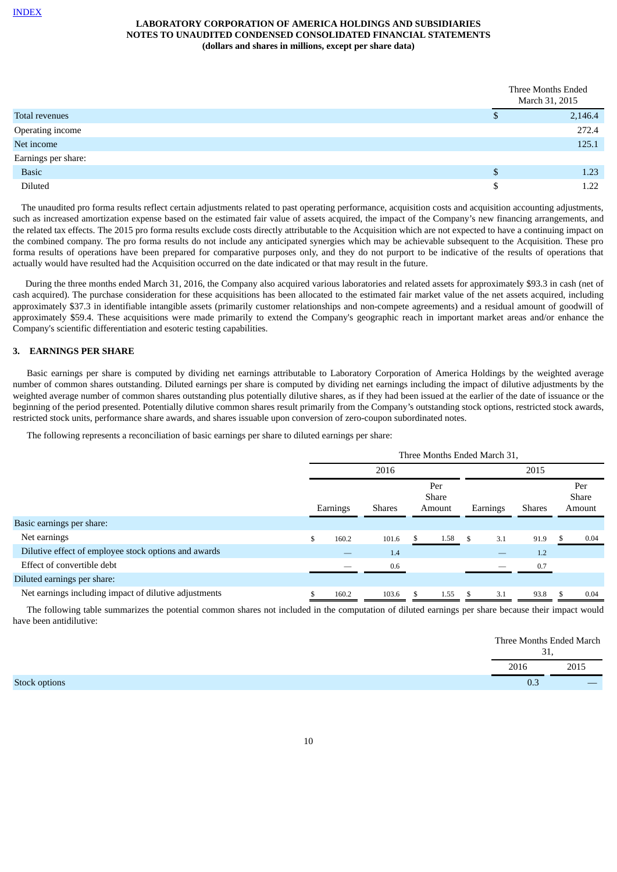|                     |   | Three Months Ended<br>March 31, 2015 |
|---------------------|---|--------------------------------------|
| Total revenues      |   | 2,146.4                              |
| Operating income    |   | 272.4                                |
| Net income          |   | 125.1                                |
| Earnings per share: |   |                                      |
| <b>Basic</b>        | D | 1.23                                 |
| Diluted             |   | 1.22                                 |

The unaudited pro forma results reflect certain adjustments related to past operating performance, acquisition costs and acquisition accounting adjustments, such as increased amortization expense based on the estimated fair value of assets acquired, the impact of the Company's new financing arrangements, and the related tax effects. The 2015 pro forma results exclude costs directly attributable to the Acquisition which are not expected to have a continuing impact on the combined company. The pro forma results do not include any anticipated synergies which may be achievable subsequent to the Acquisition. These pro forma results of operations have been prepared for comparative purposes only, and they do not purport to be indicative of the results of operations that actually would have resulted had the Acquisition occurred on the date indicated or that may result in the future.

During the three months ended March 31, 2016, the Company also acquired various laboratories and related assets for approximately \$93.3 in cash (net of cash acquired). The purchase consideration for these acquisitions has been allocated to the estimated fair market value of the net assets acquired, including approximately \$37.3 in identifiable intangible assets (primarily customer relationships and non-compete agreements) and a residual amount of goodwill of approximately \$59.4. These acquisitions were made primarily to extend the Company's geographic reach in important market areas and/or enhance the Company's scientific differentiation and esoteric testing capabilities.

### **3. EARNINGS PER SHARE**

Basic earnings per share is computed by dividing net earnings attributable to Laboratory Corporation of America Holdings by the weighted average number of common shares outstanding. Diluted earnings per share is computed by dividing net earnings including the impact of dilutive adjustments by the weighted average number of common shares outstanding plus potentially dilutive shares, as if they had been issued at the earlier of the date of issuance or the beginning of the period presented. Potentially dilutive common shares result primarily from the Company's outstanding stock options, restricted stock awards, restricted stock units, performance share awards, and shares issuable upon conversion of zero-coupon subordinated notes.

The following represents a reconciliation of basic earnings per share to diluted earnings per share:

|                                                       | Three Months Ended March 31, |       |                        |          |      |               |     |                               |  |      |  |
|-------------------------------------------------------|------------------------------|-------|------------------------|----------|------|---------------|-----|-------------------------------|--|------|--|
|                                                       |                              |       | 2016                   |          | 2015 |               |     |                               |  |      |  |
|                                                       | <b>Shares</b><br>Earnings    |       | Per<br>Share<br>Amount | Earnings |      | <b>Shares</b> |     | Per<br><b>Share</b><br>Amount |  |      |  |
| Basic earnings per share:                             |                              |       |                        |          |      |               |     |                               |  |      |  |
| Net earnings                                          | \$                           | 160.2 | 101.6                  |          | 1.58 | -S            | 3.1 | 91.9                          |  | 0.04 |  |
| Dilutive effect of employee stock options and awards  |                              |       | 1.4                    |          |      |               |     | 1.2                           |  |      |  |
| Effect of convertible debt                            |                              |       | 0.6                    |          |      |               |     | 0.7                           |  |      |  |
| Diluted earnings per share:                           |                              |       |                        |          |      |               |     |                               |  |      |  |
| Net earnings including impact of dilutive adjustments |                              | 160.2 | 103.6                  |          | 1.55 |               | 3.1 | 93.8                          |  | 0.04 |  |

The following table summarizes the potential common shares not included in the computation of diluted earnings per share because their impact would have been antidilutive:

|                      |      | Three Months Ended March<br>⊥ ب |
|----------------------|------|---------------------------------|
|                      | 2016 | 2015                            |
| <b>Stock options</b> | 0.3  |                                 |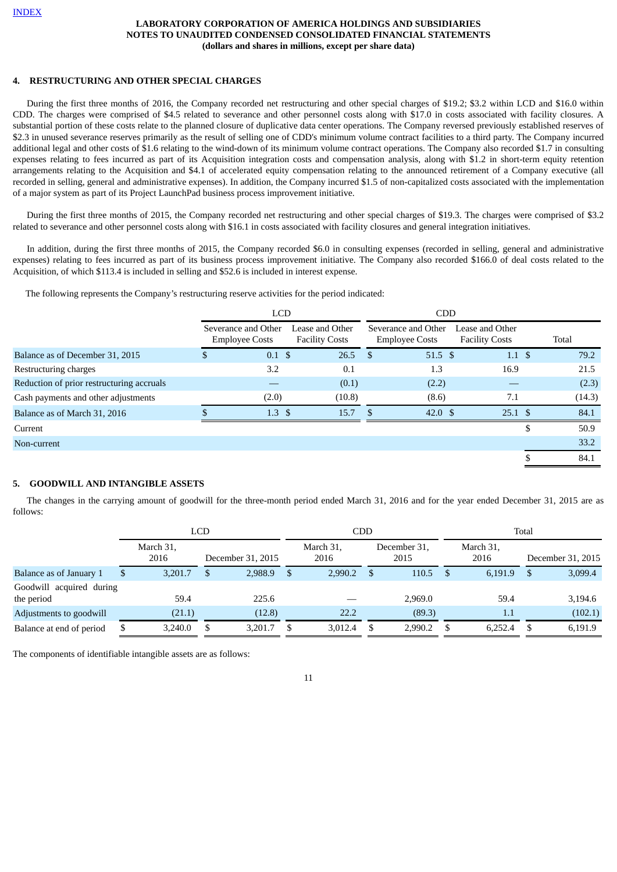## **4. RESTRUCTURING AND OTHER SPECIAL CHARGES**

During the first three months of 2016, the Company recorded net restructuring and other special charges of \$19.2; \$3.2 within LCD and \$16.0 within CDD. The charges were comprised of \$4.5 related to severance and other personnel costs along with \$17.0 in costs associated with facility closures. A substantial portion of these costs relate to the planned closure of duplicative data center operations. The Company reversed previously established reserves of \$2.3 in unused severance reserves primarily as the result of selling one of CDD's minimum volume contract facilities to a third party. The Company incurred additional legal and other costs of \$1.6 relating to the wind-down of its minimum volume contract operations. The Company also recorded \$1.7 in consulting expenses relating to fees incurred as part of its Acquisition integration costs and compensation analysis, along with \$1.2 in short-term equity retention arrangements relating to the Acquisition and \$4.1 of accelerated equity compensation relating to the announced retirement of a Company executive (all recorded in selling, general and administrative expenses). In addition, the Company incurred \$1.5 of non-capitalized costs associated with the implementation of a major system as part of its Project LaunchPad business process improvement initiative.

During the first three months of 2015, the Company recorded net restructuring and other special charges of \$19.3. The charges were comprised of \$3.2 related to severance and other personnel costs along with \$16.1 in costs associated with facility closures and general integration initiatives.

In addition, during the first three months of 2015, the Company recorded \$6.0 in consulting expenses (recorded in selling, general and administrative expenses) relating to fees incurred as part of its business process improvement initiative. The Company also recorded \$166.0 of deal costs related to the Acquisition, of which \$113.4 is included in selling and \$52.6 is included in interest expense.

The following represents the Company's restructuring reserve activities for the period indicated:

|                                           |                                              | <b>LCD</b>        |                                          | <b>CDD</b> |                                              |                                          |   |        |
|-------------------------------------------|----------------------------------------------|-------------------|------------------------------------------|------------|----------------------------------------------|------------------------------------------|---|--------|
|                                           | Severance and Other<br><b>Employee Costs</b> |                   | Lease and Other<br><b>Facility Costs</b> |            | Severance and Other<br><b>Employee Costs</b> | Lease and Other<br><b>Facility Costs</b> |   | Total  |
| Balance as of December 31, 2015           | S                                            | $0.1 \text{ }$ \$ | 26.5                                     | -\$        | $51.5 \text{ }$ \$                           | $1.1 \text{ }$ \$                        |   | 79.2   |
| Restructuring charges                     |                                              | 3.2               | 0.1                                      |            | 1.3                                          | 16.9                                     |   | 21.5   |
| Reduction of prior restructuring accruals |                                              |                   | (0.1)                                    |            | (2.2)                                        |                                          |   | (2.3)  |
| Cash payments and other adjustments       |                                              | (2.0)             | (10.8)                                   |            | (8.6)                                        | 7.1                                      |   | (14.3) |
| Balance as of March 31, 2016              |                                              | $1.3 \text{ } $s$ | 15.7                                     | -S         | 42.0 \$                                      | $25.1 \text{ }$ \$                       |   | 84.1   |
| Current                                   |                                              |                   |                                          |            |                                              |                                          | C | 50.9   |
| Non-current                               |                                              |                   |                                          |            |                                              |                                          |   | 33.2   |
|                                           |                                              |                   |                                          |            |                                              |                                          |   | 84.1   |

# **5. GOODWILL AND INTANGIBLE ASSETS**

The changes in the carrying amount of goodwill for the three-month period ended March 31, 2016 and for the year ended December 31, 2015 are as follows:

|                                        |    | <b>LCD</b>        |  |                   | <b>CDD</b>        |   |                      |  | Total             |    |                   |  |
|----------------------------------------|----|-------------------|--|-------------------|-------------------|---|----------------------|--|-------------------|----|-------------------|--|
|                                        |    | March 31,<br>2016 |  | December 31, 2015 | March 31,<br>2016 |   | December 31,<br>2015 |  | March 31,<br>2016 |    | December 31, 2015 |  |
| Balance as of January 1                | S. | 3.201.7           |  | 2,988.9           | 2,990.2           | S | 110.5                |  | 6,191.9           | -S | 3,099.4           |  |
| Goodwill acquired during<br>the period |    | 59.4              |  | 225.6             |                   |   | 2,969.0              |  | 59.4              |    | 3,194.6           |  |
| Adjustments to goodwill                |    | (21.1)            |  | (12.8)            | 22.2              |   | (89.3)               |  | 1.1               |    | (102.1)           |  |
| Balance at end of period               | S  | 3,240.0           |  | 3,201.7           | 3.012.4           |   | 2,990.2              |  | 6,252.4           | S  | 6,191.9           |  |

The components of identifiable intangible assets are as follows:

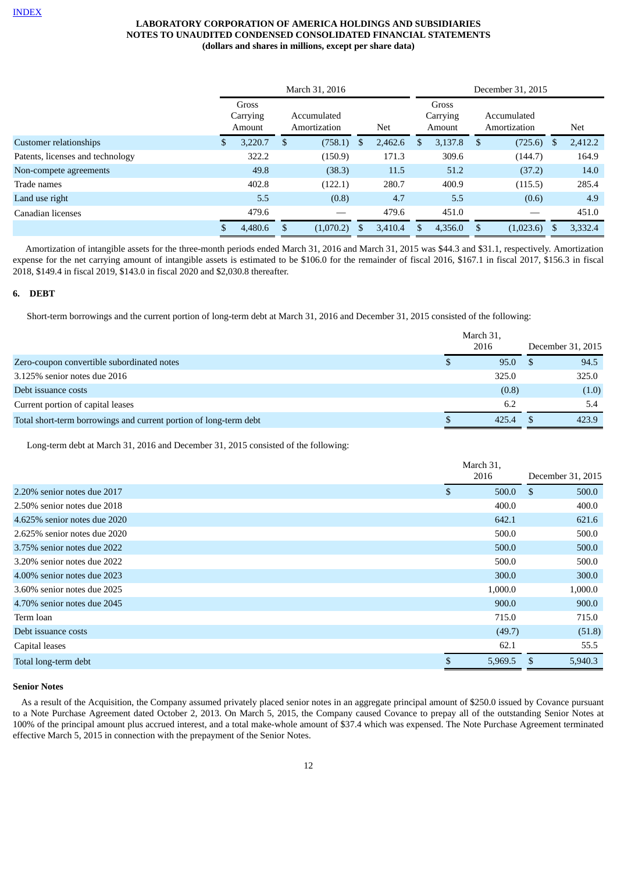|                                  | March 31, 2016 |                             |    |                             |               |         | December 31, 2015 |                             |      |                             |    |         |  |
|----------------------------------|----------------|-----------------------------|----|-----------------------------|---------------|---------|-------------------|-----------------------------|------|-----------------------------|----|---------|--|
|                                  |                | Gross<br>Carrying<br>Amount |    | Accumulated<br>Amortization |               | Net     |                   | Gross<br>Carrying<br>Amount |      | Accumulated<br>Amortization |    | Net     |  |
| Customer relationships           | \$             | 3,220.7                     | \$ | (758.1)                     | \$            | 2,462.6 | \$                | 3,137.8                     | - \$ | (725.6)                     | -S | 2,412.2 |  |
| Patents, licenses and technology |                | 322.2                       |    | (150.9)                     |               | 171.3   |                   | 309.6                       |      | (144.7)                     |    | 164.9   |  |
| Non-compete agreements           |                | 49.8                        |    | (38.3)                      |               | 11.5    |                   | 51.2                        |      | (37.2)                      |    | 14.0    |  |
| Trade names                      |                | 402.8                       |    | (122.1)                     |               | 280.7   |                   | 400.9                       |      | (115.5)                     |    | 285.4   |  |
| Land use right                   |                | 5.5                         |    | (0.8)                       |               | 4.7     |                   | 5.5                         |      | (0.6)                       |    | 4.9     |  |
| Canadian licenses                |                | 479.6                       |    |                             |               | 479.6   |                   | 451.0                       |      |                             |    | 451.0   |  |
|                                  | \$             | 4,480.6                     | \$ | (1,070.2)                   | <sup>\$</sup> | 3.410.4 | \$                | 4,356.0                     |      | (1,023.6)                   |    | 3,332.4 |  |

Amortization of intangible assets for the three-month periods ended March 31, 2016 and March 31, 2015 was \$44.3 and \$31.1, respectively. Amortization expense for the net carrying amount of intangible assets is estimated to be \$106.0 for the remainder of fiscal 2016, \$167.1 in fiscal 2017, \$156.3 in fiscal 2018, \$149.4 in fiscal 2019, \$143.0 in fiscal 2020 and \$2,030.8 thereafter.

### **6. DEBT**

Short-term borrowings and the current portion of long-term debt at March 31, 2016 and December 31, 2015 consisted of the following:

|                                                                   | March 31, |                   |
|-------------------------------------------------------------------|-----------|-------------------|
|                                                                   | 2016      | December 31, 2015 |
| Zero-coupon convertible subordinated notes                        | 95.0      | 94.5              |
| 3.125% senior notes due 2016                                      | 325.0     | 325.0             |
| Debt issuance costs                                               | (0.8)     | (1.0)             |
| Current portion of capital leases                                 | 6.2       | 5.4               |
| Total short-term borrowings and current portion of long-term debt | 425.4     | 423.9             |

Long-term debt at March 31, 2016 and December 31, 2015 consisted of the following:

|                              |     | March 31, |               |                   |
|------------------------------|-----|-----------|---------------|-------------------|
|                              |     | 2016      |               | December 31, 2015 |
| 2.20% senior notes due 2017  | \$. | 500.0     | <sup>\$</sup> | 500.0             |
| 2.50% senior notes due 2018  |     | 400.0     |               | 400.0             |
| 4.625% senior notes due 2020 |     | 642.1     |               | 621.6             |
| 2.625% senior notes due 2020 |     | 500.0     |               | 500.0             |
| 3.75% senior notes due 2022  |     | 500.0     |               | 500.0             |
| 3.20% senior notes due 2022  |     | 500.0     |               | 500.0             |
| 4.00% senior notes due 2023  |     | 300.0     |               | 300.0             |
| 3.60% senior notes due 2025  |     | 1,000.0   |               | 1,000.0           |
| 4.70% senior notes due 2045  |     | 900.0     |               | 900.0             |
| Term loan                    |     | 715.0     |               | 715.0             |
| Debt issuance costs          |     | (49.7)    |               | (51.8)            |
| Capital leases               |     | 62.1      |               | 55.5              |
| Total long-term debt         |     | 5,969.5   | -S            | 5,940.3           |

#### **Senior Notes**

As a result of the Acquisition, the Company assumed privately placed senior notes in an aggregate principal amount of \$250.0 issued by Covance pursuant to a Note Purchase Agreement dated October 2, 2013. On March 5, 2015, the Company caused Covance to prepay all of the outstanding Senior Notes at 100% of the principal amount plus accrued interest, and a total make-whole amount of \$37.4 which was expensed. The Note Purchase Agreement terminated effective March 5, 2015 in connection with the prepayment of the Senior Notes.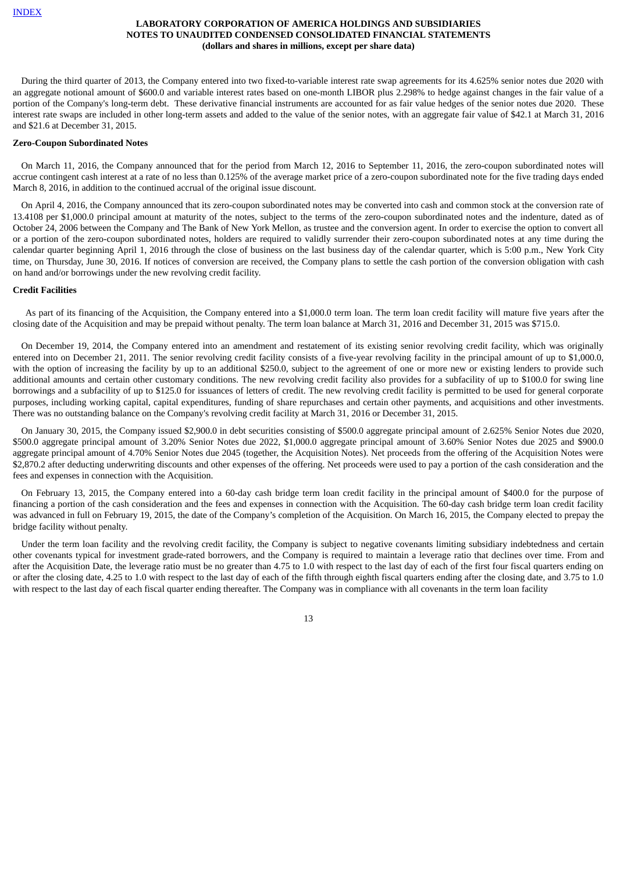During the third quarter of 2013, the Company entered into two fixed-to-variable interest rate swap agreements for its 4.625% senior notes due 2020 with an aggregate notional amount of \$600.0 and variable interest rates based on one-month LIBOR plus 2.298% to hedge against changes in the fair value of a portion of the Company's long-term debt. These derivative financial instruments are accounted for as fair value hedges of the senior notes due 2020. These interest rate swaps are included in other long-term assets and added to the value of the senior notes, with an aggregate fair value of \$42.1 at March 31, 2016 and \$21.6 at December 31, 2015.

#### **Zero-Coupon Subordinated Notes**

On March 11, 2016, the Company announced that for the period from March 12, 2016 to September 11, 2016, the zero-coupon subordinated notes will accrue contingent cash interest at a rate of no less than 0.125% of the average market price of a zero-coupon subordinated note for the five trading days ended March 8, 2016, in addition to the continued accrual of the original issue discount.

On April 4, 2016, the Company announced that its zero-coupon subordinated notes may be converted into cash and common stock at the conversion rate of 13.4108 per \$1,000.0 principal amount at maturity of the notes, subject to the terms of the zero-coupon subordinated notes and the indenture, dated as of October 24, 2006 between the Company and The Bank of New York Mellon, as trustee and the conversion agent. In order to exercise the option to convert all or a portion of the zero-coupon subordinated notes, holders are required to validly surrender their zero-coupon subordinated notes at any time during the calendar quarter beginning April 1, 2016 through the close of business on the last business day of the calendar quarter, which is 5:00 p.m., New York City time, on Thursday, June 30, 2016. If notices of conversion are received, the Company plans to settle the cash portion of the conversion obligation with cash on hand and/or borrowings under the new revolving credit facility.

### **Credit Facilities**

As part of its financing of the Acquisition, the Company entered into a \$1,000.0 term loan. The term loan credit facility will mature five years after the closing date of the Acquisition and may be prepaid without penalty. The term loan balance at March 31, 2016 and December 31, 2015 was \$715.0.

On December 19, 2014, the Company entered into an amendment and restatement of its existing senior revolving credit facility, which was originally entered into on December 21, 2011. The senior revolving credit facility consists of a five-year revolving facility in the principal amount of up to \$1,000.0, with the option of increasing the facility by up to an additional \$250.0, subject to the agreement of one or more new or existing lenders to provide such additional amounts and certain other customary conditions. The new revolving credit facility also provides for a subfacility of up to \$100.0 for swing line borrowings and a subfacility of up to \$125.0 for issuances of letters of credit. The new revolving credit facility is permitted to be used for general corporate purposes, including working capital, capital expenditures, funding of share repurchases and certain other payments, and acquisitions and other investments. There was no outstanding balance on the Company's revolving credit facility at March 31, 2016 or December 31, 2015.

On January 30, 2015, the Company issued \$2,900.0 in debt securities consisting of \$500.0 aggregate principal amount of 2.625% Senior Notes due 2020, \$500.0 aggregate principal amount of 3.20% Senior Notes due 2022, \$1,000.0 aggregate principal amount of 3.60% Senior Notes due 2025 and \$900.0 aggregate principal amount of 4.70% Senior Notes due 2045 (together, the Acquisition Notes). Net proceeds from the offering of the Acquisition Notes were \$2,870.2 after deducting underwriting discounts and other expenses of the offering. Net proceeds were used to pay a portion of the cash consideration and the fees and expenses in connection with the Acquisition.

On February 13, 2015, the Company entered into a 60-day cash bridge term loan credit facility in the principal amount of \$400.0 for the purpose of financing a portion of the cash consideration and the fees and expenses in connection with the Acquisition. The 60-day cash bridge term loan credit facility was advanced in full on February 19, 2015, the date of the Company's completion of the Acquisition. On March 16, 2015, the Company elected to prepay the bridge facility without penalty.

Under the term loan facility and the revolving credit facility, the Company is subject to negative covenants limiting subsidiary indebtedness and certain other covenants typical for investment grade-rated borrowers, and the Company is required to maintain a leverage ratio that declines over time. From and after the Acquisition Date, the leverage ratio must be no greater than 4.75 to 1.0 with respect to the last day of each of the first four fiscal quarters ending on or after the closing date, 4.25 to 1.0 with respect to the last day of each of the fifth through eighth fiscal quarters ending after the closing date, and 3.75 to 1.0 with respect to the last day of each fiscal quarter ending thereafter. The Company was in compliance with all covenants in the term loan facility

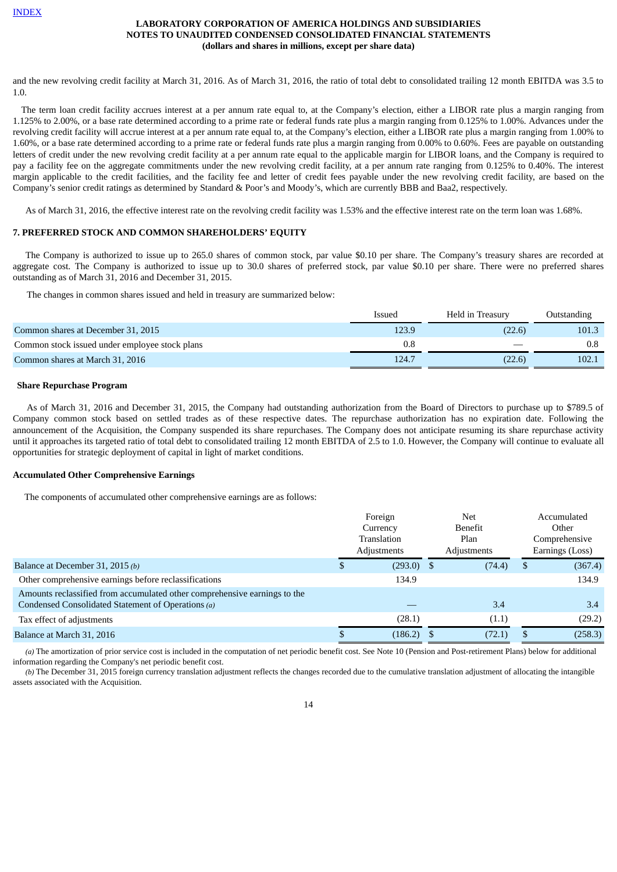and the new revolving credit facility at March 31, 2016. As of March 31, 2016, the ratio of total debt to consolidated trailing 12 month EBITDA was 3.5 to 1.0.

The term loan credit facility accrues interest at a per annum rate equal to, at the Company's election, either a LIBOR rate plus a margin ranging from 1.125% to 2.00%, or a base rate determined according to a prime rate or federal funds rate plus a margin ranging from 0.125% to 1.00%. Advances under the revolving credit facility will accrue interest at a per annum rate equal to, at the Company's election, either a LIBOR rate plus a margin ranging from 1.00% to 1.60%, or a base rate determined according to a prime rate or federal funds rate plus a margin ranging from 0.00% to 0.60%. Fees are payable on outstanding letters of credit under the new revolving credit facility at a per annum rate equal to the applicable margin for LIBOR loans, and the Company is required to pay a facility fee on the aggregate commitments under the new revolving credit facility, at a per annum rate ranging from 0.125% to 0.40%. The interest margin applicable to the credit facilities, and the facility fee and letter of credit fees payable under the new revolving credit facility, are based on the Company's senior credit ratings as determined by Standard & Poor's and Moody's, which are currently BBB and Baa2, respectively.

As of March 31, 2016, the effective interest rate on the revolving credit facility was 1.53% and the effective interest rate on the term loan was 1.68%.

# **7. PREFERRED STOCK AND COMMON SHAREHOLDERS' EQUITY**

The Company is authorized to issue up to 265.0 shares of common stock, par value \$0.10 per share. The Company's treasury shares are recorded at aggregate cost. The Company is authorized to issue up to 30.0 shares of preferred stock, par value \$0.10 per share. There were no preferred shares outstanding as of March 31, 2016 and December 31, 2015.

The changes in common shares issued and held in treasury are summarized below:

|                                                | Issued | Held in Treasury | Outstanding |
|------------------------------------------------|--------|------------------|-------------|
| Common shares at December 31, 2015             | 123.9  | (22.6)           | 101.3       |
| Common stock issued under employee stock plans | 0.8    |                  | 0.8         |
| Common shares at March 31, 2016                | 124.7  | (22.6)           | 102.1       |

### **Share Repurchase Program**

As of March 31, 2016 and December 31, 2015, the Company had outstanding authorization from the Board of Directors to purchase up to \$789.5 of Company common stock based on settled trades as of these respective dates. The repurchase authorization has no expiration date. Following the announcement of the Acquisition, the Company suspended its share repurchases. The Company does not anticipate resuming its share repurchase activity until it approaches its targeted ratio of total debt to consolidated trailing 12 month EBITDA of 2.5 to 1.0. However, the Company will continue to evaluate all opportunities for strategic deployment of capital in light of market conditions.

### **Accumulated Other Comprehensive Earnings**

The components of accumulated other comprehensive earnings are as follows:

|                                                                                                                                 |  | Foreign<br>Currency<br>Translation<br>Adjustments |  | Net<br>Benefit<br>Plan<br>Adjustments | Accumulated<br>Other<br>Comprehensive<br>Earnings (Loss) |         |  |
|---------------------------------------------------------------------------------------------------------------------------------|--|---------------------------------------------------|--|---------------------------------------|----------------------------------------------------------|---------|--|
| Balance at December 31, 2015 (b)                                                                                                |  | $(293.0)$ \$                                      |  | (74.4)                                |                                                          | (367.4) |  |
| Other comprehensive earnings before reclassifications                                                                           |  | 134.9                                             |  |                                       |                                                          | 134.9   |  |
| Amounts reclassified from accumulated other comprehensive earnings to the<br>Condensed Consolidated Statement of Operations (a) |  |                                                   |  | 3.4                                   |                                                          | 3.4     |  |
| Tax effect of adjustments                                                                                                       |  | (28.1)                                            |  | (1.1)                                 |                                                          | (29.2)  |  |
| Balance at March 31, 2016                                                                                                       |  | (186.2)                                           |  | (72.1)                                |                                                          | (258.3) |  |
|                                                                                                                                 |  |                                                   |  |                                       |                                                          |         |  |

*(a)* The amortization of prior service cost is included in the computation of net periodic benefit cost. See Note 10 (Pension and Post-retirement Plans) below for additional information regarding the Company's net periodic benefit cost.

*(b)* The December 31, 2015 foreign currency translation adjustment reflects the changes recorded due to the cumulative translation adjustment of allocating the intangible assets associated with the Acquisition.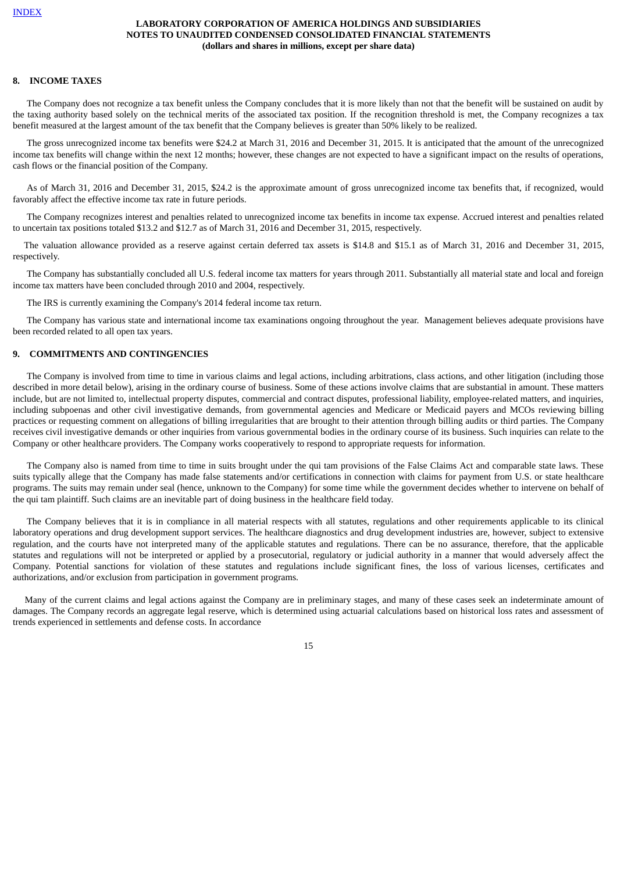### **8. INCOME TAXES**

The Company does not recognize a tax benefit unless the Company concludes that it is more likely than not that the benefit will be sustained on audit by the taxing authority based solely on the technical merits of the associated tax position. If the recognition threshold is met, the Company recognizes a tax benefit measured at the largest amount of the tax benefit that the Company believes is greater than 50% likely to be realized.

The gross unrecognized income tax benefits were \$24.2 at March 31, 2016 and December 31, 2015. It is anticipated that the amount of the unrecognized income tax benefits will change within the next 12 months; however, these changes are not expected to have a significant impact on the results of operations, cash flows or the financial position of the Company.

As of March 31, 2016 and December 31, 2015, \$24.2 is the approximate amount of gross unrecognized income tax benefits that, if recognized, would favorably affect the effective income tax rate in future periods.

The Company recognizes interest and penalties related to unrecognized income tax benefits in income tax expense. Accrued interest and penalties related to uncertain tax positions totaled \$13.2 and \$12.7 as of March 31, 2016 and December 31, 2015, respectively.

The valuation allowance provided as a reserve against certain deferred tax assets is \$14.8 and \$15.1 as of March 31, 2016 and December 31, 2015, respectively.

The Company has substantially concluded all U.S. federal income tax matters for years through 2011. Substantially all material state and local and foreign income tax matters have been concluded through 2010 and 2004, respectively.

The IRS is currently examining the Company's 2014 federal income tax return.

The Company has various state and international income tax examinations ongoing throughout the year. Management believes adequate provisions have been recorded related to all open tax years.

### **9. COMMITMENTS AND CONTINGENCIES**

The Company is involved from time to time in various claims and legal actions, including arbitrations, class actions, and other litigation (including those described in more detail below), arising in the ordinary course of business. Some of these actions involve claims that are substantial in amount. These matters include, but are not limited to, intellectual property disputes, commercial and contract disputes, professional liability, employee-related matters, and inquiries, including subpoenas and other civil investigative demands, from governmental agencies and Medicare or Medicaid payers and MCOs reviewing billing practices or requesting comment on allegations of billing irregularities that are brought to their attention through billing audits or third parties. The Company receives civil investigative demands or other inquiries from various governmental bodies in the ordinary course of its business. Such inquiries can relate to the Company or other healthcare providers. The Company works cooperatively to respond to appropriate requests for information.

The Company also is named from time to time in suits brought under the qui tam provisions of the False Claims Act and comparable state laws. These suits typically allege that the Company has made false statements and/or certifications in connection with claims for payment from U.S. or state healthcare programs. The suits may remain under seal (hence, unknown to the Company) for some time while the government decides whether to intervene on behalf of the qui tam plaintiff. Such claims are an inevitable part of doing business in the healthcare field today.

The Company believes that it is in compliance in all material respects with all statutes, regulations and other requirements applicable to its clinical laboratory operations and drug development support services. The healthcare diagnostics and drug development industries are, however, subject to extensive regulation, and the courts have not interpreted many of the applicable statutes and regulations. There can be no assurance, therefore, that the applicable statutes and regulations will not be interpreted or applied by a prosecutorial, regulatory or judicial authority in a manner that would adversely affect the Company. Potential sanctions for violation of these statutes and regulations include significant fines, the loss of various licenses, certificates and authorizations, and/or exclusion from participation in government programs.

Many of the current claims and legal actions against the Company are in preliminary stages, and many of these cases seek an indeterminate amount of damages. The Company records an aggregate legal reserve, which is determined using actuarial calculations based on historical loss rates and assessment of trends experienced in settlements and defense costs. In accordance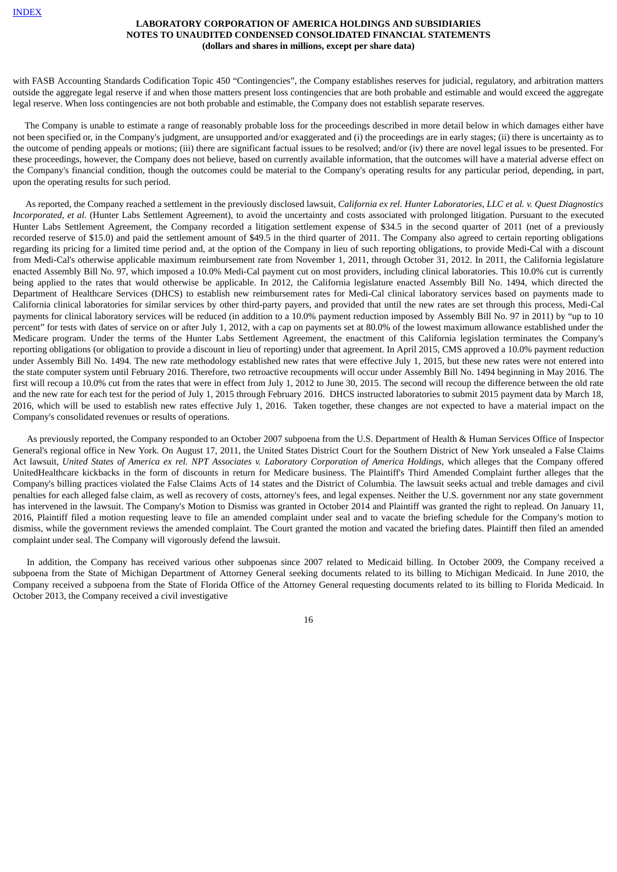with FASB Accounting Standards Codification Topic 450 "Contingencies", the Company establishes reserves for judicial, regulatory, and arbitration matters outside the aggregate legal reserve if and when those matters present loss contingencies that are both probable and estimable and would exceed the aggregate legal reserve. When loss contingencies are not both probable and estimable, the Company does not establish separate reserves.

The Company is unable to estimate a range of reasonably probable loss for the proceedings described in more detail below in which damages either have not been specified or, in the Company's judgment, are unsupported and/or exaggerated and (i) the proceedings are in early stages; (ii) there is uncertainty as to the outcome of pending appeals or motions; (iii) there are significant factual issues to be resolved; and/or (iv) there are novel legal issues to be presented. For these proceedings, however, the Company does not believe, based on currently available information, that the outcomes will have a material adverse effect on the Company's financial condition, though the outcomes could be material to the Company's operating results for any particular period, depending, in part, upon the operating results for such period.

As reported, the Company reached a settlement in the previously disclosed lawsuit, California ex rel. Hunter Laboratories, LLC et al. v. Quest Diagnostics *Incorporated, et al.* (Hunter Labs Settlement Agreement), to avoid the uncertainty and costs associated with prolonged litigation. Pursuant to the executed Hunter Labs Settlement Agreement, the Company recorded a litigation settlement expense of \$34.5 in the second quarter of 2011 (net of a previously recorded reserve of \$15.0) and paid the settlement amount of \$49.5 in the third quarter of 2011. The Company also agreed to certain reporting obligations regarding its pricing for a limited time period and, at the option of the Company in lieu of such reporting obligations, to provide Medi-Cal with a discount from Medi-Cal's otherwise applicable maximum reimbursement rate from November 1, 2011, through October 31, 2012. In 2011, the California legislature enacted Assembly Bill No. 97, which imposed a 10.0% Medi-Cal payment cut on most providers, including clinical laboratories. This 10.0% cut is currently being applied to the rates that would otherwise be applicable. In 2012, the California legislature enacted Assembly Bill No. 1494, which directed the Department of Healthcare Services (DHCS) to establish new reimbursement rates for Medi-Cal clinical laboratory services based on payments made to California clinical laboratories for similar services by other third-party payers, and provided that until the new rates are set through this process, Medi-Cal payments for clinical laboratory services will be reduced (in addition to a 10.0% payment reduction imposed by Assembly Bill No. 97 in 2011) by "up to 10 percent" for tests with dates of service on or after July 1, 2012, with a cap on payments set at 80.0% of the lowest maximum allowance established under the Medicare program. Under the terms of the Hunter Labs Settlement Agreement, the enactment of this California legislation terminates the Company's reporting obligations (or obligation to provide a discount in lieu of reporting) under that agreement. In April 2015, CMS approved a 10.0% payment reduction under Assembly Bill No. 1494. The new rate methodology established new rates that were effective July 1, 2015, but these new rates were not entered into the state computer system until February 2016. Therefore, two retroactive recoupments will occur under Assembly Bill No. 1494 beginning in May 2016. The first will recoup a 10.0% cut from the rates that were in effect from July 1, 2012 to June 30, 2015. The second will recoup the difference between the old rate and the new rate for each test for the period of July 1, 2015 through February 2016. DHCS instructed laboratories to submit 2015 payment data by March 18, 2016, which will be used to establish new rates effective July 1, 2016. Taken together, these changes are not expected to have a material impact on the Company's consolidated revenues or results of operations.

As previously reported, the Company responded to an October 2007 subpoena from the U.S. Department of Health & Human Services Office of Inspector General's regional office in New York. On August 17, 2011, the United States District Court for the Southern District of New York unsealed a False Claims Act lawsuit, United States of America ex rel. NPT Associates v. Laboratory Corporation of America Holdings, which alleges that the Company offered UnitedHealthcare kickbacks in the form of discounts in return for Medicare business. The Plaintiff's Third Amended Complaint further alleges that the Company's billing practices violated the False Claims Acts of 14 states and the District of Columbia. The lawsuit seeks actual and treble damages and civil penalties for each alleged false claim, as well as recovery of costs, attorney's fees, and legal expenses. Neither the U.S. government nor any state government has intervened in the lawsuit. The Company's Motion to Dismiss was granted in October 2014 and Plaintiff was granted the right to replead. On January 11, 2016, Plaintiff filed a motion requesting leave to file an amended complaint under seal and to vacate the briefing schedule for the Company's motion to dismiss, while the government reviews the amended complaint. The Court granted the motion and vacated the briefing dates. Plaintiff then filed an amended complaint under seal. The Company will vigorously defend the lawsuit.

In addition, the Company has received various other subpoenas since 2007 related to Medicaid billing. In October 2009, the Company received a subpoena from the State of Michigan Department of Attorney General seeking documents related to its billing to Michigan Medicaid. In June 2010, the Company received a subpoena from the State of Florida Office of the Attorney General requesting documents related to its billing to Florida Medicaid. In October 2013, the Company received a civil investigative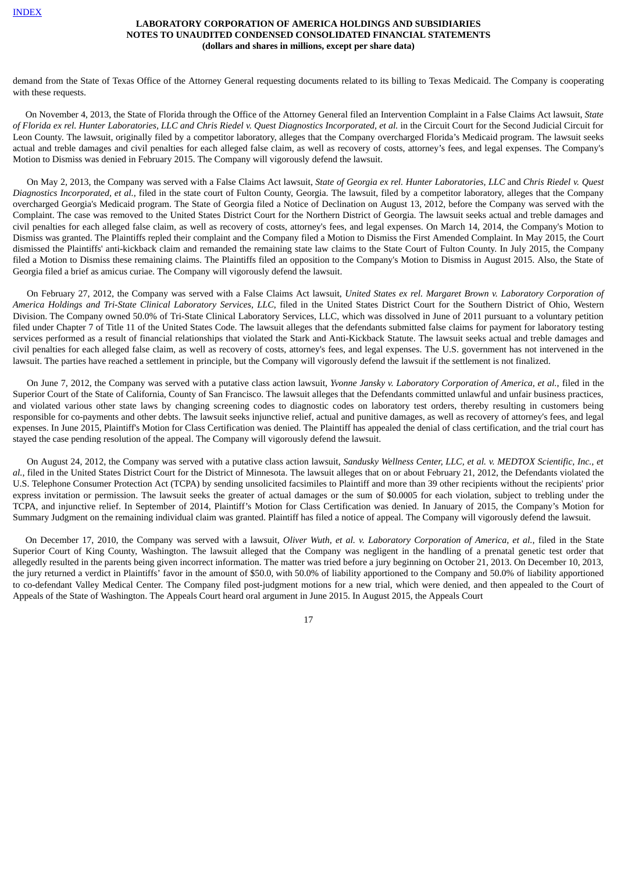demand from the State of Texas Office of the Attorney General requesting documents related to its billing to Texas Medicaid. The Company is cooperating with these requests.

On November 4, 2013, the State of Florida through the Office of the Attorney General filed an Intervention Complaint in a False Claims Act lawsuit, *State* of Florida ex rel. Hunter Laboratories, LLC and Chris Riedel v. Quest Diagnostics Incorporated, et al. in the Circuit Court for the Second Judicial Circuit for Leon County. The lawsuit, originally filed by a competitor laboratory, alleges that the Company overcharged Florida's Medicaid program. The lawsuit seeks actual and treble damages and civil penalties for each alleged false claim, as well as recovery of costs, attorney's fees, and legal expenses. The Company's Motion to Dismiss was denied in February 2015. The Company will vigorously defend the lawsuit.

On May 2, 2013, the Company was served with a False Claims Act lawsuit, State of Georgia ex rel. Hunter Laboratories, LLC and Chris Riedel v. Quest *Diagnostics Incorporated, et al.*, filed in the state court of Fulton County, Georgia. The lawsuit, filed by a competitor laboratory, alleges that the Company overcharged Georgia's Medicaid program. The State of Georgia filed a Notice of Declination on August 13, 2012, before the Company was served with the Complaint. The case was removed to the United States District Court for the Northern District of Georgia. The lawsuit seeks actual and treble damages and civil penalties for each alleged false claim, as well as recovery of costs, attorney's fees, and legal expenses. On March 14, 2014, the Company's Motion to Dismiss was granted. The Plaintiffs repled their complaint and the Company filed a Motion to Dismiss the First Amended Complaint. In May 2015, the Court dismissed the Plaintiffs' anti-kickback claim and remanded the remaining state law claims to the State Court of Fulton County. In July 2015, the Company filed a Motion to Dismiss these remaining claims. The Plaintiffs filed an opposition to the Company's Motion to Dismiss in August 2015. Also, the State of Georgia filed a brief as amicus curiae. The Company will vigorously defend the lawsuit.

On February 27, 2012, the Company was served with a False Claims Act lawsuit, *United States ex rel. Margaret Brown v. Laboratory Corporation of America Holdings and Tri-State Clinical Laboratory Services, LLC*, filed in the United States District Court for the Southern District of Ohio, Western Division. The Company owned 50.0% of Tri-State Clinical Laboratory Services, LLC, which was dissolved in June of 2011 pursuant to a voluntary petition filed under Chapter 7 of Title 11 of the United States Code. The lawsuit alleges that the defendants submitted false claims for payment for laboratory testing services performed as a result of financial relationships that violated the Stark and Anti-Kickback Statute. The lawsuit seeks actual and treble damages and civil penalties for each alleged false claim, as well as recovery of costs, attorney's fees, and legal expenses. The U.S. government has not intervened in the lawsuit. The parties have reached a settlement in principle, but the Company will vigorously defend the lawsuit if the settlement is not finalized.

On June 7, 2012, the Company was served with a putative class action lawsuit, *Yvonne Jansky v. Laboratory Corporation of America, et al.*, filed in the Superior Court of the State of California, County of San Francisco. The lawsuit alleges that the Defendants committed unlawful and unfair business practices, and violated various other state laws by changing screening codes to diagnostic codes on laboratory test orders, thereby resulting in customers being responsible for co-payments and other debts. The lawsuit seeks injunctive relief, actual and punitive damages, as well as recovery of attorney's fees, and legal expenses. In June 2015, Plaintiff's Motion for Class Certification was denied. The Plaintiff has appealed the denial of class certification, and the trial court has stayed the case pending resolution of the appeal. The Company will vigorously defend the lawsuit.

On August 24, 2012, the Company was served with a putative class action lawsuit, Sandusky Wellness Center, LLC, et al. v. MEDTOX Scientific, Inc., et *al.*, filed in the United States District Court for the District of Minnesota. The lawsuit alleges that on or about February 21, 2012, the Defendants violated the U.S. Telephone Consumer Protection Act (TCPA) by sending unsolicited facsimiles to Plaintiff and more than 39 other recipients without the recipients' prior express invitation or permission. The lawsuit seeks the greater of actual damages or the sum of \$0.0005 for each violation, subject to trebling under the TCPA, and injunctive relief. In September of 2014, Plaintiff's Motion for Class Certification was denied. In January of 2015, the Company's Motion for Summary Judgment on the remaining individual claim was granted. Plaintiff has filed a notice of appeal. The Company will vigorously defend the lawsuit.

On December 17, 2010, the Company was served with a lawsuit, *Oliver Wuth, et al. v. Laboratory Corporation of America, et al.*, filed in the State Superior Court of King County, Washington. The lawsuit alleged that the Company was negligent in the handling of a prenatal genetic test order that allegedly resulted in the parents being given incorrect information. The matter was tried before a jury beginning on October 21, 2013. On December 10, 2013, the jury returned a verdict in Plaintiffs' favor in the amount of \$50.0, with 50.0% of liability apportioned to the Company and 50.0% of liability apportioned to co-defendant Valley Medical Center. The Company filed post-judgment motions for a new trial, which were denied, and then appealed to the Court of Appeals of the State of Washington. The Appeals Court heard oral argument in June 2015. In August 2015, the Appeals Court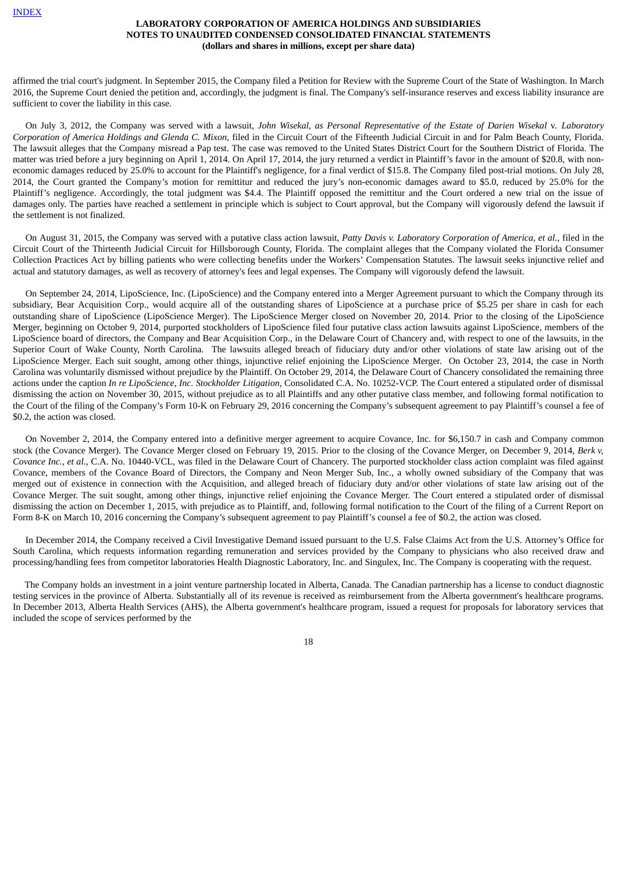affirmed the trial court's judgment. In September 2015, the Company filed a Petition for Review with the Supreme Court of the State of Washington. In March 2016, the Supreme Court denied the petition and, accordingly, the judgment is final. The Company's self-insurance reserves and excess liability insurance are sufficient to cover the liability in this case.

On July 3, 2012, the Company was served with a lawsuit, John Wisekal, as Personal Representative of the Estate of Darien Wisekal v. Laboratory *Corporation of America Holdings and Glenda C. Mixon*, filed in the Circuit Court of the Fifteenth Judicial Circuit in and for Palm Beach County, Florida. The lawsuit alleges that the Company misread a Pap test. The case was removed to the United States District Court for the Southern District of Florida. The matter was tried before a jury beginning on April 1, 2014. On April 17, 2014, the jury returned a verdict in Plaintiff's favor in the amount of \$20.8, with noneconomic damages reduced by 25.0% to account for the Plaintiff's negligence, for a final verdict of \$15.8. The Company filed post-trial motions. On July 28, 2014, the Court granted the Company's motion for remittitur and reduced the jury's non-economic damages award to \$5.0, reduced by 25.0% for the Plaintiff's negligence. Accordingly, the total judgment was \$4.4. The Plaintiff opposed the remittitur and the Court ordered a new trial on the issue of damages only. The parties have reached a settlement in principle which is subject to Court approval, but the Company will vigorously defend the lawsuit if the settlement is not finalized.

On August 31, 2015, the Company was served with a putative class action lawsuit, *Patty Davis v. Laboratory Corporation of America, et al.,* filed in the Circuit Court of the Thirteenth Judicial Circuit for Hillsborough County, Florida. The complaint alleges that the Company violated the Florida Consumer Collection Practices Act by billing patients who were collecting benefits under the Workers' Compensation Statutes. The lawsuit seeks injunctive relief and actual and statutory damages, as well as recovery of attorney's fees and legal expenses. The Company will vigorously defend the lawsuit.

On September 24, 2014, LipoScience, Inc. (LipoScience) and the Company entered into a Merger Agreement pursuant to which the Company through its subsidiary, Bear Acquisition Corp., would acquire all of the outstanding shares of LipoScience at a purchase price of \$5.25 per share in cash for each outstanding share of LipoScience (LipoScience Merger). The LipoScience Merger closed on November 20, 2014. Prior to the closing of the LipoScience Merger, beginning on October 9, 2014, purported stockholders of LipoScience filed four putative class action lawsuits against LipoScience, members of the LipoScience board of directors, the Company and Bear Acquisition Corp., in the Delaware Court of Chancery and, with respect to one of the lawsuits, in the Superior Court of Wake County, North Carolina. The lawsuits alleged breach of fiduciary duty and/or other violations of state law arising out of the LipoScience Merger. Each suit sought, among other things, injunctive relief enjoining the LipoScience Merger. On October 23, 2014, the case in North Carolina was voluntarily dismissed without prejudice by the Plaintiff. On October 29, 2014, the Delaware Court of Chancery consolidated the remaining three actions under the caption *In re LipoScience, Inc. Stockholder Litigation*, Consolidated C.A. No. 10252-VCP. The Court entered a stipulated order of dismissal dismissing the action on November 30, 2015, without prejudice as to all Plaintiffs and any other putative class member, and following formal notification to the Court of the filing of the Company's Form 10-K on February 29, 2016 concerning the Company's subsequent agreement to pay Plaintiff's counsel a fee of \$0.2, the action was closed.

On November 2, 2014, the Company entered into a definitive merger agreement to acquire Covance, Inc. for \$6,150.7 in cash and Company common stock (the Covance Merger). The Covance Merger closed on February 19, 2015. Prior to the closing of the Covance Merger, on December 9, 2014, *Berk v, Covance Inc., et al*., C.A. No. 10440-VCL, was filed in the Delaware Court of Chancery. The purported stockholder class action complaint was filed against Covance, members of the Covance Board of Directors, the Company and Neon Merger Sub, Inc., a wholly owned subsidiary of the Company that was merged out of existence in connection with the Acquisition, and alleged breach of fiduciary duty and/or other violations of state law arising out of the Covance Merger. The suit sought, among other things, injunctive relief enjoining the Covance Merger. The Court entered a stipulated order of dismissal dismissing the action on December 1, 2015, with prejudice as to Plaintiff, and, following formal notification to the Court of the filing of a Current Report on Form 8-K on March 10, 2016 concerning the Company's subsequent agreement to pay Plaintiff's counsel a fee of \$0.2, the action was closed.

In December 2014, the Company received a Civil Investigative Demand issued pursuant to the U.S. False Claims Act from the U.S. Attorney's Office for South Carolina, which requests information regarding remuneration and services provided by the Company to physicians who also received draw and processing/handling fees from competitor laboratories Health Diagnostic Laboratory, Inc. and Singulex, Inc. The Company is cooperating with the request.

The Company holds an investment in a joint venture partnership located in Alberta, Canada. The Canadian partnership has a license to conduct diagnostic testing services in the province of Alberta. Substantially all of its revenue is received as reimbursement from the Alberta government's healthcare programs. In December 2013, Alberta Health Services (AHS), the Alberta government's healthcare program, issued a request for proposals for laboratory services that included the scope of services performed by the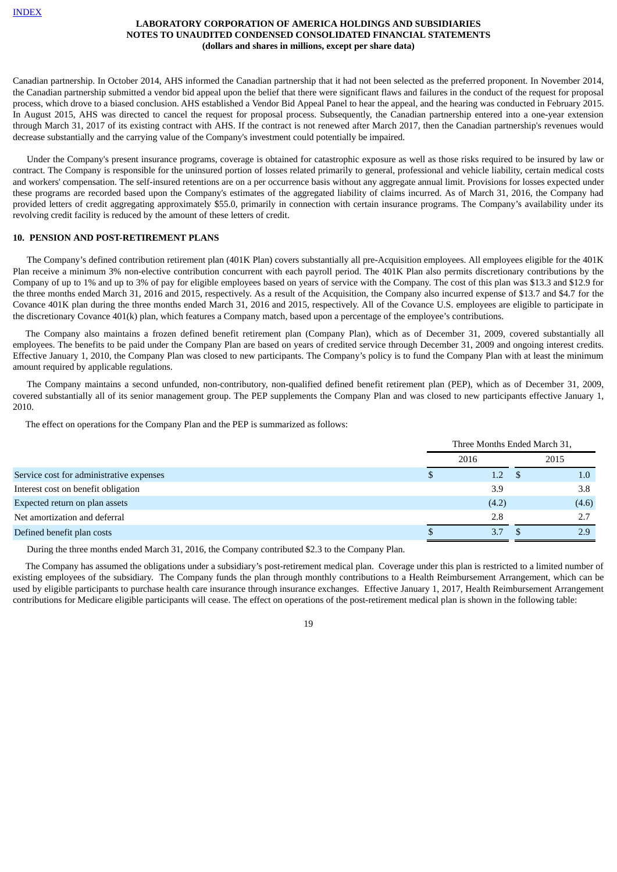Canadian partnership. In October 2014, AHS informed the Canadian partnership that it had not been selected as the preferred proponent. In November 2014, the Canadian partnership submitted a vendor bid appeal upon the belief that there were significant flaws and failures in the conduct of the request for proposal process, which drove to a biased conclusion. AHS established a Vendor Bid Appeal Panel to hear the appeal, and the hearing was conducted in February 2015. In August 2015, AHS was directed to cancel the request for proposal process. Subsequently, the Canadian partnership entered into a one-year extension through March 31, 2017 of its existing contract with AHS. If the contract is not renewed after March 2017, then the Canadian partnership's revenues would decrease substantially and the carrying value of the Company's investment could potentially be impaired.

Under the Company's present insurance programs, coverage is obtained for catastrophic exposure as well as those risks required to be insured by law or contract. The Company is responsible for the uninsured portion of losses related primarily to general, professional and vehicle liability, certain medical costs and workers' compensation. The self-insured retentions are on a per occurrence basis without any aggregate annual limit. Provisions for losses expected under these programs are recorded based upon the Company's estimates of the aggregated liability of claims incurred. As of March 31, 2016, the Company had provided letters of credit aggregating approximately \$55.0, primarily in connection with certain insurance programs. The Company's availability under its revolving credit facility is reduced by the amount of these letters of credit.

### **10. PENSION AND POST-RETIREMENT PLANS**

The Company's defined contribution retirement plan (401K Plan) covers substantially all pre-Acquisition employees. All employees eligible for the 401K Plan receive a minimum 3% non-elective contribution concurrent with each payroll period. The 401K Plan also permits discretionary contributions by the Company of up to 1% and up to 3% of pay for eligible employees based on years of service with the Company. The cost of this plan was \$13.3 and \$12.9 for the three months ended March 31, 2016 and 2015, respectively. As a result of the Acquisition, the Company also incurred expense of \$13.7 and \$4.7 for the Covance 401K plan during the three months ended March 31, 2016 and 2015, respectively. All of the Covance U.S. employees are eligible to participate in the discretionary Covance 401(k) plan, which features a Company match, based upon a percentage of the employee's contributions.

The Company also maintains a frozen defined benefit retirement plan (Company Plan), which as of December 31, 2009, covered substantially all employees. The benefits to be paid under the Company Plan are based on years of credited service through December 31, 2009 and ongoing interest credits. Effective January 1, 2010, the Company Plan was closed to new participants. The Company's policy is to fund the Company Plan with at least the minimum amount required by applicable regulations.

The Company maintains a second unfunded, non-contributory, non-qualified defined benefit retirement plan (PEP), which as of December 31, 2009, covered substantially all of its senior management group. The PEP supplements the Company Plan and was closed to new participants effective January 1, 2010.

The effect on operations for the Company Plan and the PEP is summarized as follows:

|                                          | Three Months Ended March 31, |       |  |       |  |  |
|------------------------------------------|------------------------------|-------|--|-------|--|--|
|                                          |                              | 2016  |  | 2015  |  |  |
| Service cost for administrative expenses |                              | 1.2   |  | 1.0   |  |  |
| Interest cost on benefit obligation      |                              | 3.9   |  | 3.8   |  |  |
| Expected return on plan assets           |                              | (4.2) |  | (4.6) |  |  |
| Net amortization and deferral            |                              | 2.8   |  | 2.7   |  |  |
| Defined benefit plan costs               |                              | 3.7   |  | 2.9   |  |  |

During the three months ended March 31, 2016, the Company contributed \$2.3 to the Company Plan.

The Company has assumed the obligations under a subsidiary's post-retirement medical plan. Coverage under this plan is restricted to a limited number of existing employees of the subsidiary. The Company funds the plan through monthly contributions to a Health Reimbursement Arrangement, which can be used by eligible participants to purchase health care insurance through insurance exchanges. Effective January 1, 2017, Health Reimbursement Arrangement contributions for Medicare eligible participants will cease. The effect on operations of the post-retirement medical plan is shown in the following table: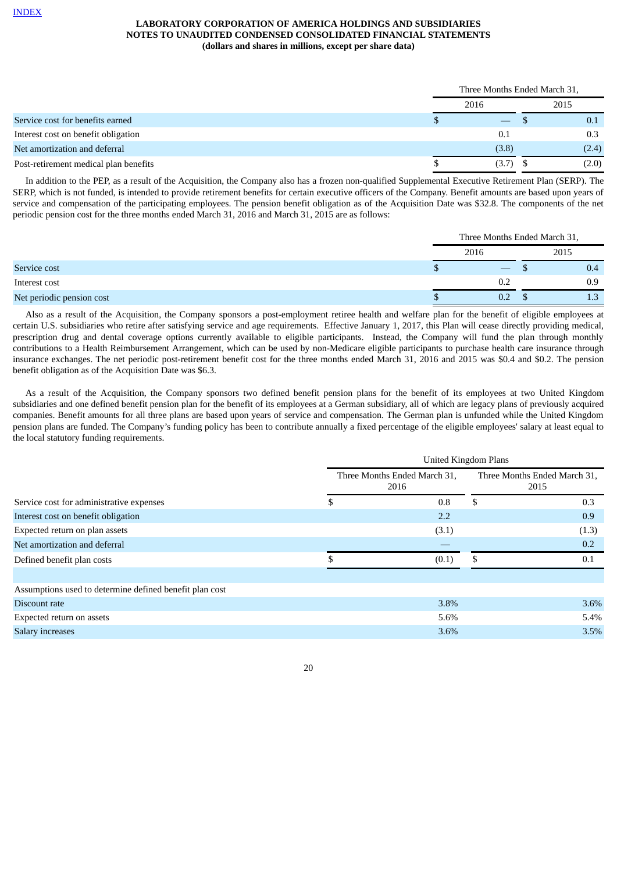|                                       | Three Months Ended March 31, |  |       |  |  |  |
|---------------------------------------|------------------------------|--|-------|--|--|--|
|                                       | 2016                         |  | 2015  |  |  |  |
| Service cost for benefits earned      | $-$                          |  | 0.1   |  |  |  |
| Interest cost on benefit obligation   | 0.1                          |  | 0.3   |  |  |  |
| Net amortization and deferral         | (3.8)                        |  | (2.4) |  |  |  |
| Post-retirement medical plan benefits | (3.7)                        |  | (2.0) |  |  |  |

In addition to the PEP, as a result of the Acquisition, the Company also has a frozen non-qualified Supplemental Executive Retirement Plan (SERP). The SERP, which is not funded, is intended to provide retirement benefits for certain executive officers of the Company. Benefit amounts are based upon years of service and compensation of the participating employees. The pension benefit obligation as of the Acquisition Date was \$32.8. The components of the net periodic pension cost for the three months ended March 31, 2016 and March 31, 2015 are as follows:

|                           | Three Months Ended March 31, |      |     |
|---------------------------|------------------------------|------|-----|
|                           | 2016                         | 2015 |     |
| Service cost              |                              |      | 0.4 |
| Interest cost             | 0.2                          |      | 0.9 |
| Net periodic pension cost | 0.2                          |      | 1.3 |

Also as a result of the Acquisition, the Company sponsors a post-employment retiree health and welfare plan for the benefit of eligible employees at certain U.S. subsidiaries who retire after satisfying service and age requirements. Effective January 1, 2017, this Plan will cease directly providing medical, prescription drug and dental coverage options currently available to eligible participants. Instead, the Company will fund the plan through monthly contributions to a Health Reimbursement Arrangement, which can be used by non-Medicare eligible participants to purchase health care insurance through insurance exchanges. The net periodic post-retirement benefit cost for the three months ended March 31, 2016 and 2015 was \$0.4 and \$0.2. The pension benefit obligation as of the Acquisition Date was \$6.3.

As a result of the Acquisition, the Company sponsors two defined benefit pension plans for the benefit of its employees at two United Kingdom subsidiaries and one defined benefit pension plan for the benefit of its employees at a German subsidiary, all of which are legacy plans of previously acquired companies. Benefit amounts for all three plans are based upon years of service and compensation. The German plan is unfunded while the United Kingdom pension plans are funded. The Company's funding policy has been to contribute annually a fixed percentage of the eligible employees' salary at least equal to the local statutory funding requirements.

|                                                         |    | <b>United Kingdom Plans</b>          |    |                                      |  |  |  |
|---------------------------------------------------------|----|--------------------------------------|----|--------------------------------------|--|--|--|
|                                                         |    | Three Months Ended March 31,<br>2016 |    | Three Months Ended March 31,<br>2015 |  |  |  |
| Service cost for administrative expenses                | J. | 0.8                                  | \$ | 0.3                                  |  |  |  |
| Interest cost on benefit obligation                     |    | 2.2                                  |    | 0.9                                  |  |  |  |
| Expected return on plan assets                          |    | (3.1)                                |    | (1.3)                                |  |  |  |
| Net amortization and deferral                           |    |                                      |    | 0.2                                  |  |  |  |
| Defined benefit plan costs                              |    | (0.1)                                | S  | 0.1                                  |  |  |  |
|                                                         |    |                                      |    |                                      |  |  |  |
| Assumptions used to determine defined benefit plan cost |    |                                      |    |                                      |  |  |  |
| Discount rate                                           |    | 3.8%                                 |    | 3.6%                                 |  |  |  |
| Expected return on assets                               |    | 5.6%                                 |    | 5.4%                                 |  |  |  |
| Salary increases                                        |    | 3.6%                                 |    | 3.5%                                 |  |  |  |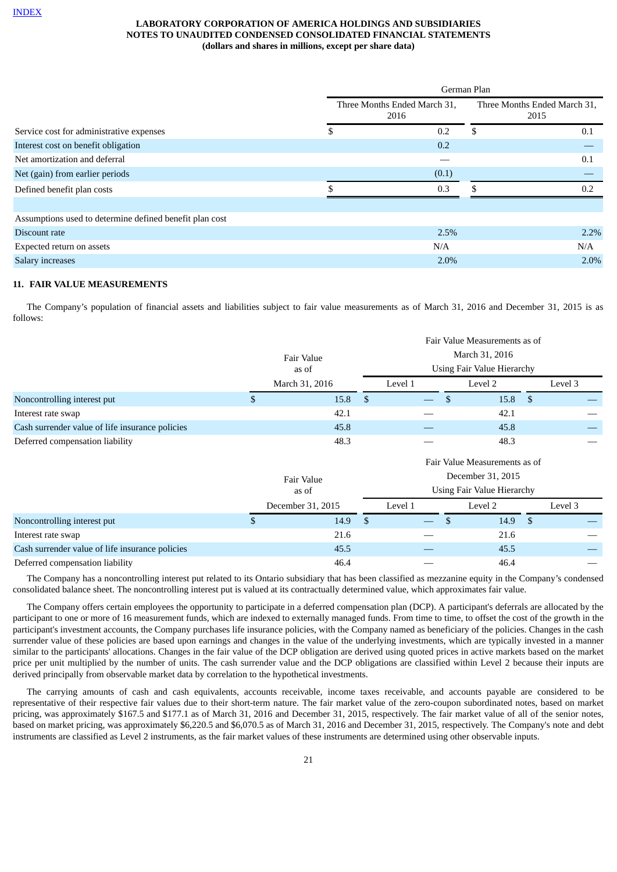|                                                         | German Plan                          |    |                                      |  |  |  |  |
|---------------------------------------------------------|--------------------------------------|----|--------------------------------------|--|--|--|--|
|                                                         | Three Months Ended March 31,<br>2016 |    | Three Months Ended March 31,<br>2015 |  |  |  |  |
| Service cost for administrative expenses                | 0.2                                  | \$ | 0.1                                  |  |  |  |  |
| Interest cost on benefit obligation                     | 0.2                                  |    |                                      |  |  |  |  |
| Net amortization and deferral                           |                                      |    | 0.1                                  |  |  |  |  |
| Net (gain) from earlier periods                         | (0.1)                                |    |                                      |  |  |  |  |
| Defined benefit plan costs                              | 0.3                                  | \$ | 0.2                                  |  |  |  |  |
|                                                         |                                      |    |                                      |  |  |  |  |
| Assumptions used to determine defined benefit plan cost |                                      |    |                                      |  |  |  |  |
| Discount rate                                           | 2.5%                                 |    | $2.2\%$                              |  |  |  |  |
| Expected return on assets                               | N/A                                  |    | N/A                                  |  |  |  |  |
| Salary increases                                        | 2.0%                                 |    | 2.0%                                 |  |  |  |  |

### **11. FAIR VALUE MEASUREMENTS**

The Company's population of financial assets and liabilities subject to fair value measurements as of March 31, 2016 and December 31, 2015 is as follows:

|                                                 | Fair Value Measurements as of |                   |              |                                   |    |                               |                |         |  |  |  |
|-------------------------------------------------|-------------------------------|-------------------|--------------|-----------------------------------|----|-------------------------------|----------------|---------|--|--|--|
|                                                 |                               | Fair Value        |              |                                   |    | March 31, 2016                |                |         |  |  |  |
|                                                 |                               | as of             |              | <b>Using Fair Value Hierarchy</b> |    |                               |                |         |  |  |  |
|                                                 |                               | March 31, 2016    |              | Level 1                           |    | Level 2                       |                | Level 3 |  |  |  |
| Noncontrolling interest put                     | \$                            | 15.8              | $\mathbf{s}$ | $\overline{\phantom{m}}$          | \$ | 15.8                          | $\mathfrak{L}$ |         |  |  |  |
| Interest rate swap                              |                               | 42.1              |              |                                   |    | 42.1                          |                |         |  |  |  |
| Cash surrender value of life insurance policies |                               | 45.8              |              |                                   |    | 45.8                          |                |         |  |  |  |
| Deferred compensation liability                 |                               | 48.3              |              |                                   |    | 48.3                          |                |         |  |  |  |
|                                                 |                               |                   |              |                                   |    | Fair Value Measurements as of |                |         |  |  |  |
|                                                 |                               | Fair Value        |              |                                   |    | December 31, 2015             |                |         |  |  |  |
|                                                 |                               | as of             |              | <b>Using Fair Value Hierarchy</b> |    |                               |                |         |  |  |  |
|                                                 |                               | December 31, 2015 |              | Level 1                           |    | Level 2                       |                | Level 3 |  |  |  |
| Noncontrolling interest put                     | \$                            | 14.9              | - \$         |                                   |    | 14.9                          | - \$           |         |  |  |  |
| Interest rate swap                              |                               | 21.6              |              |                                   |    | 21.6                          |                |         |  |  |  |
| Cash surrender value of life insurance policies |                               | 45.5              |              |                                   |    | 45.5                          |                |         |  |  |  |

Deferred compensation liability  $46.4$   $46.4$   $46.4$ 

The Company has a noncontrolling interest put related to its Ontario subsidiary that has been classified as mezzanine equity in the Company's condensed consolidated balance sheet. The noncontrolling interest put is valued at its contractually determined value, which approximates fair value.

The Company offers certain employees the opportunity to participate in a deferred compensation plan (DCP). A participant's deferrals are allocated by the participant to one or more of 16 measurement funds, which are indexed to externally managed funds. From time to time, to offset the cost of the growth in the participant's investment accounts, the Company purchases life insurance policies, with the Company named as beneficiary of the policies. Changes in the cash surrender value of these policies are based upon earnings and changes in the value of the underlying investments, which are typically invested in a manner similar to the participants' allocations. Changes in the fair value of the DCP obligation are derived using quoted prices in active markets based on the market price per unit multiplied by the number of units. The cash surrender value and the DCP obligations are classified within Level 2 because their inputs are derived principally from observable market data by correlation to the hypothetical investments.

The carrying amounts of cash and cash equivalents, accounts receivable, income taxes receivable, and accounts payable are considered to be representative of their respective fair values due to their short-term nature. The fair market value of the zero-coupon subordinated notes, based on market pricing, was approximately \$167.5 and \$177.1 as of March 31, 2016 and December 31, 2015, respectively. The fair market value of all of the senior notes, based on market pricing, was approximately \$6,220.5 and \$6,070.5 as of March 31, 2016 and December 31, 2015, respectively. The Company's note and debt instruments are classified as Level 2 instruments, as the fair market values of these instruments are determined using other observable inputs.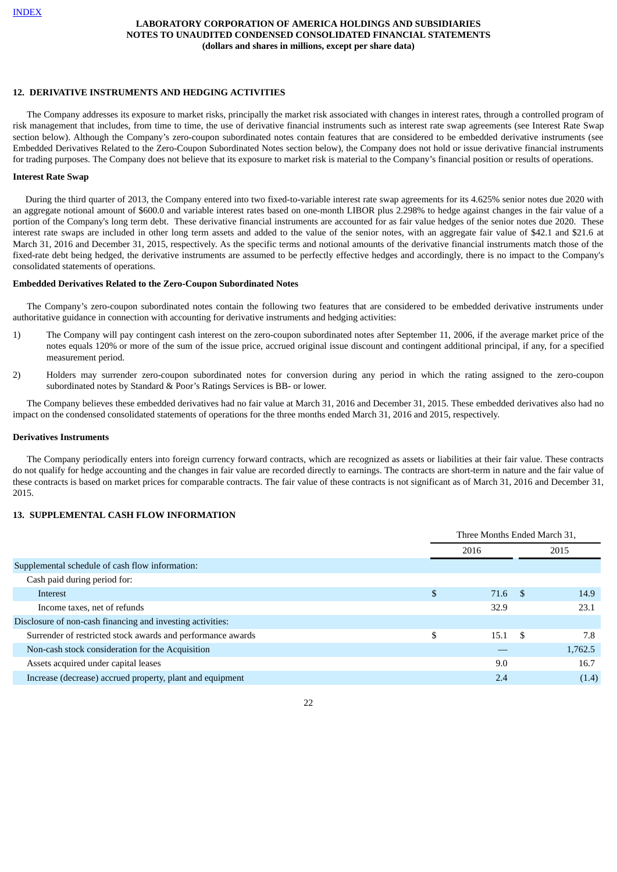### **12. DERIVATIVE INSTRUMENTS AND HEDGING ACTIVITIES**

The Company addresses its exposure to market risks, principally the market risk associated with changes in interest rates, through a controlled program of risk management that includes, from time to time, the use of derivative financial instruments such as interest rate swap agreements (see Interest Rate Swap section below). Although the Company's zero-coupon subordinated notes contain features that are considered to be embedded derivative instruments (see Embedded Derivatives Related to the Zero-Coupon Subordinated Notes section below), the Company does not hold or issue derivative financial instruments for trading purposes. The Company does not believe that its exposure to market risk is material to the Company's financial position or results of operations.

# **Interest Rate Swap**

During the third quarter of 2013, the Company entered into two fixed-to-variable interest rate swap agreements for its 4.625% senior notes due 2020 with an aggregate notional amount of \$600.0 and variable interest rates based on one-month LIBOR plus 2.298% to hedge against changes in the fair value of a portion of the Company's long term debt. These derivative financial instruments are accounted for as fair value hedges of the senior notes due 2020. These interest rate swaps are included in other long term assets and added to the value of the senior notes, with an aggregate fair value of \$42.1 and \$21.6 at March 31, 2016 and December 31, 2015, respectively. As the specific terms and notional amounts of the derivative financial instruments match those of the fixed-rate debt being hedged, the derivative instruments are assumed to be perfectly effective hedges and accordingly, there is no impact to the Company's consolidated statements of operations.

### **Embedded Derivatives Related to the Zero-Coupon Subordinated Notes**

The Company's zero-coupon subordinated notes contain the following two features that are considered to be embedded derivative instruments under authoritative guidance in connection with accounting for derivative instruments and hedging activities:

- 1) The Company will pay contingent cash interest on the zero-coupon subordinated notes after September 11, 2006, if the average market price of the notes equals 120% or more of the sum of the issue price, accrued original issue discount and contingent additional principal, if any, for a specified measurement period.
- 2) Holders may surrender zero-coupon subordinated notes for conversion during any period in which the rating assigned to the zero-coupon subordinated notes by Standard & Poor's Ratings Services is BB- or lower.

The Company believes these embedded derivatives had no fair value at March 31, 2016 and December 31, 2015. These embedded derivatives also had no impact on the condensed consolidated statements of operations for the three months ended March 31, 2016 and 2015, respectively.

### **Derivatives Instruments**

The Company periodically enters into foreign currency forward contracts, which are recognized as assets or liabilities at their fair value. These contracts do not qualify for hedge accounting and the changes in fair value are recorded directly to earnings. The contracts are short-term in nature and the fair value of these contracts is based on market prices for comparable contracts. The fair value of these contracts is not significant as of March 31, 2016 and December 31, 2015.

# **13. SUPPLEMENTAL CASH FLOW INFORMATION**

|                                                             | Three Months Ended March 31, |      |         |  |  |
|-------------------------------------------------------------|------------------------------|------|---------|--|--|
|                                                             | 2016                         |      | 2015    |  |  |
| Supplemental schedule of cash flow information:             |                              |      |         |  |  |
| Cash paid during period for:                                |                              |      |         |  |  |
| Interest                                                    | \$<br>71.6                   | - \$ | 14.9    |  |  |
| Income taxes, net of refunds                                | 32.9                         |      | 23.1    |  |  |
| Disclosure of non-cash financing and investing activities:  |                              |      |         |  |  |
| Surrender of restricted stock awards and performance awards | \$<br>15.1                   | - S  | 7.8     |  |  |
| Non-cash stock consideration for the Acquisition            |                              |      | 1,762.5 |  |  |
| Assets acquired under capital leases                        | 9.0                          |      | 16.7    |  |  |
| Increase (decrease) accrued property, plant and equipment   | 2.4                          |      | (1.4)   |  |  |
|                                                             |                              |      |         |  |  |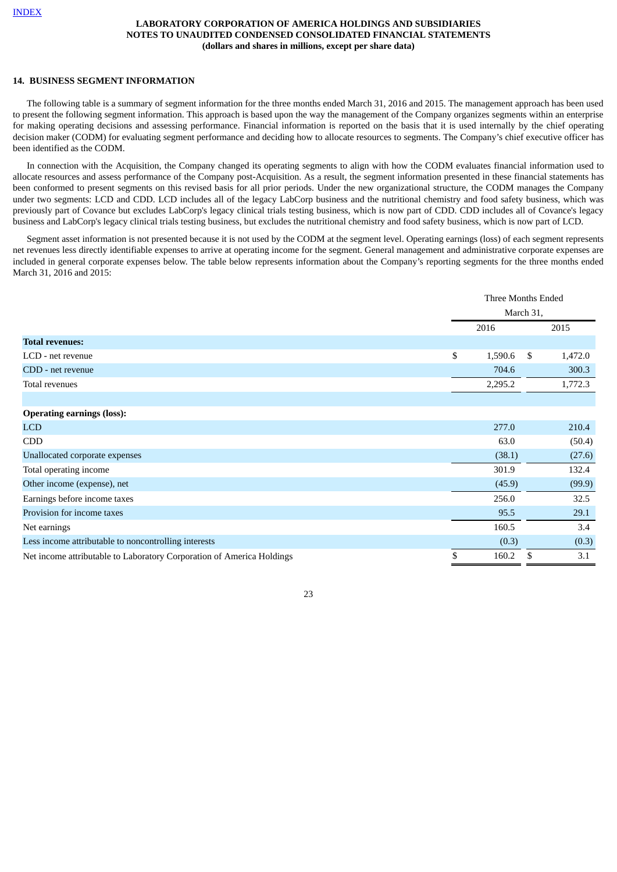#### **14. BUSINESS SEGMENT INFORMATION**

The following table is a summary of segment information for the three months ended March 31, 2016 and 2015. The management approach has been used to present the following segment information. This approach is based upon the way the management of the Company organizes segments within an enterprise for making operating decisions and assessing performance. Financial information is reported on the basis that it is used internally by the chief operating decision maker (CODM) for evaluating segment performance and deciding how to allocate resources to segments. The Company's chief executive officer has been identified as the CODM.

In connection with the Acquisition, the Company changed its operating segments to align with how the CODM evaluates financial information used to allocate resources and assess performance of the Company post-Acquisition. As a result, the segment information presented in these financial statements has been conformed to present segments on this revised basis for all prior periods. Under the new organizational structure, the CODM manages the Company under two segments: LCD and CDD. LCD includes all of the legacy LabCorp business and the nutritional chemistry and food safety business, which was previously part of Covance but excludes LabCorp's legacy clinical trials testing business, which is now part of CDD. CDD includes all of Covance's legacy business and LabCorp's legacy clinical trials testing business, but excludes the nutritional chemistry and food safety business, which is now part of LCD.

Segment asset information is not presented because it is not used by the CODM at the segment level. Operating earnings (loss) of each segment represents net revenues less directly identifiable expenses to arrive at operating income for the segment. General management and administrative corporate expenses are included in general corporate expenses below. The table below represents information about the Company's reporting segments for the three months ended March 31, 2016 and 2015:

|                                                                       | Three Months Ended |         |    |         |
|-----------------------------------------------------------------------|--------------------|---------|----|---------|
|                                                                       | March 31,          |         |    |         |
|                                                                       |                    | 2016    |    | 2015    |
| <b>Total revenues:</b>                                                |                    |         |    |         |
| LCD - net revenue                                                     | \$                 | 1,590.6 | S. | 1,472.0 |
| CDD - net revenue                                                     |                    | 704.6   |    | 300.3   |
| Total revenues                                                        |                    | 2,295.2 |    | 1,772.3 |
|                                                                       |                    |         |    |         |
| <b>Operating earnings (loss):</b>                                     |                    |         |    |         |
| <b>LCD</b>                                                            |                    | 277.0   |    | 210.4   |
| CDD                                                                   |                    | 63.0    |    | (50.4)  |
| Unallocated corporate expenses                                        |                    | (38.1)  |    | (27.6)  |
| Total operating income                                                |                    | 301.9   |    | 132.4   |
| Other income (expense), net                                           |                    | (45.9)  |    | (99.9)  |
| Earnings before income taxes                                          |                    | 256.0   |    | 32.5    |
| Provision for income taxes                                            |                    | 95.5    |    | 29.1    |
| Net earnings                                                          |                    | 160.5   |    | 3.4     |
| Less income attributable to noncontrolling interests                  |                    | (0.3)   |    | (0.3)   |
| Net income attributable to Laboratory Corporation of America Holdings | \$                 | 160.2   | \$ | 3.1     |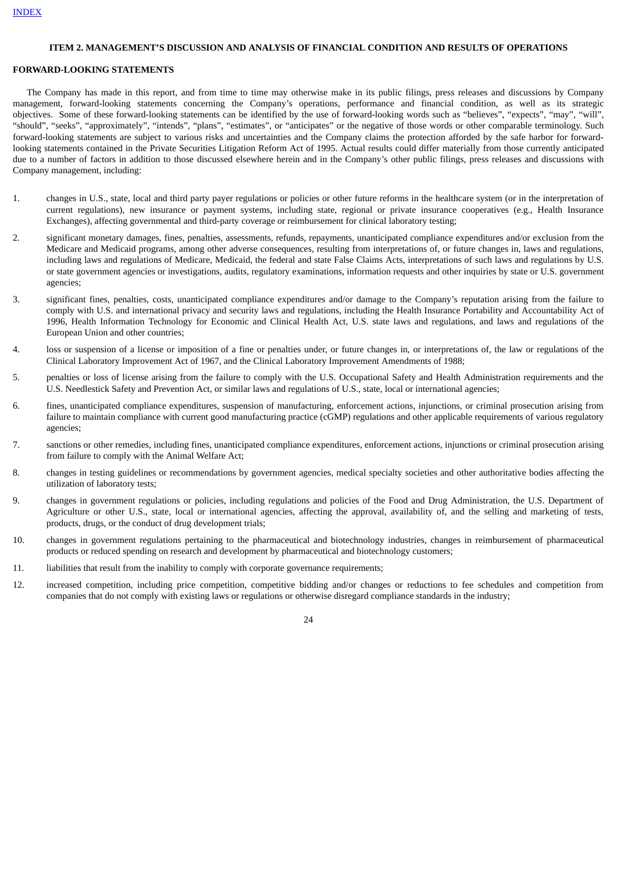### <span id="page-24-0"></span>**ITEM 2. MANAGEMENT'S DISCUSSION AND ANALYSIS OF FINANCIAL CONDITION AND RESULTS OF OPERATIONS**

### **FORWARD-LOOKING STATEMENTS**

The Company has made in this report, and from time to time may otherwise make in its public filings, press releases and discussions by Company management, forward-looking statements concerning the Company's operations, performance and financial condition, as well as its strategic objectives. Some of these forward-looking statements can be identified by the use of forward-looking words such as "believes", "expects", "may", "will", "should", "seeks", "approximately", "intends", "plans", "estimates", or "anticipates" or the negative of those words or other comparable terminology. Such forward-looking statements are subject to various risks and uncertainties and the Company claims the protection afforded by the safe harbor for forwardlooking statements contained in the Private Securities Litigation Reform Act of 1995. Actual results could differ materially from those currently anticipated due to a number of factors in addition to those discussed elsewhere herein and in the Company's other public filings, press releases and discussions with Company management, including:

- 1. changes in U.S., state, local and third party payer regulations or policies or other future reforms in the healthcare system (or in the interpretation of current regulations), new insurance or payment systems, including state, regional or private insurance cooperatives (e.g., Health Insurance Exchanges), affecting governmental and third-party coverage or reimbursement for clinical laboratory testing;
- 2. significant monetary damages, fines, penalties, assessments, refunds, repayments, unanticipated compliance expenditures and/or exclusion from the Medicare and Medicaid programs, among other adverse consequences, resulting from interpretations of, or future changes in, laws and regulations, including laws and regulations of Medicare, Medicaid, the federal and state False Claims Acts, interpretations of such laws and regulations by U.S. or state government agencies or investigations, audits, regulatory examinations, information requests and other inquiries by state or U.S. government agencies;
- 3. significant fines, penalties, costs, unanticipated compliance expenditures and/or damage to the Company's reputation arising from the failure to comply with U.S. and international privacy and security laws and regulations, including the Health Insurance Portability and Accountability Act of 1996, Health Information Technology for Economic and Clinical Health Act, U.S. state laws and regulations, and laws and regulations of the European Union and other countries;
- 4. loss or suspension of a license or imposition of a fine or penalties under, or future changes in, or interpretations of, the law or regulations of the Clinical Laboratory Improvement Act of 1967, and the Clinical Laboratory Improvement Amendments of 1988;
- 5. penalties or loss of license arising from the failure to comply with the U.S. Occupational Safety and Health Administration requirements and the U.S. Needlestick Safety and Prevention Act, or similar laws and regulations of U.S., state, local or international agencies;
- 6. fines, unanticipated compliance expenditures, suspension of manufacturing, enforcement actions, injunctions, or criminal prosecution arising from failure to maintain compliance with current good manufacturing practice (cGMP) regulations and other applicable requirements of various regulatory agencies;
- 7. sanctions or other remedies, including fines, unanticipated compliance expenditures, enforcement actions, injunctions or criminal prosecution arising from failure to comply with the Animal Welfare Act;
- 8. changes in testing guidelines or recommendations by government agencies, medical specialty societies and other authoritative bodies affecting the utilization of laboratory tests;
- 9. changes in government regulations or policies, including regulations and policies of the Food and Drug Administration, the U.S. Department of Agriculture or other U.S., state, local or international agencies, affecting the approval, availability of, and the selling and marketing of tests, products, drugs, or the conduct of drug development trials;
- 10. changes in government regulations pertaining to the pharmaceutical and biotechnology industries, changes in reimbursement of pharmaceutical products or reduced spending on research and development by pharmaceutical and biotechnology customers;
- 11. liabilities that result from the inability to comply with corporate governance requirements;
- 12. increased competition, including price competition, competitive bidding and/or changes or reductions to fee schedules and competition from companies that do not comply with existing laws or regulations or otherwise disregard compliance standards in the industry;

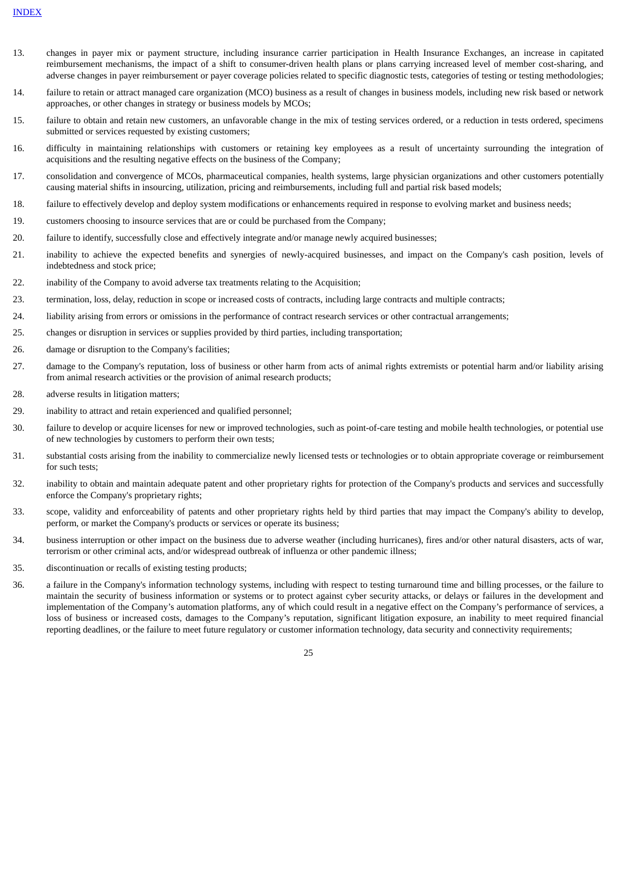### [INDEX](#page-1-0)

- 13. changes in payer mix or payment structure, including insurance carrier participation in Health Insurance Exchanges, an increase in capitated reimbursement mechanisms, the impact of a shift to consumer-driven health plans or plans carrying increased level of member cost-sharing, and adverse changes in payer reimbursement or payer coverage policies related to specific diagnostic tests, categories of testing or testing methodologies;
- 14. failure to retain or attract managed care organization (MCO) business as a result of changes in business models, including new risk based or network approaches, or other changes in strategy or business models by MCOs;
- 15. failure to obtain and retain new customers, an unfavorable change in the mix of testing services ordered, or a reduction in tests ordered, specimens submitted or services requested by existing customers;
- 16. difficulty in maintaining relationships with customers or retaining key employees as a result of uncertainty surrounding the integration of acquisitions and the resulting negative effects on the business of the Company;
- 17. consolidation and convergence of MCOs, pharmaceutical companies, health systems, large physician organizations and other customers potentially causing material shifts in insourcing, utilization, pricing and reimbursements, including full and partial risk based models;
- 18. failure to effectively develop and deploy system modifications or enhancements required in response to evolving market and business needs;
- 19. customers choosing to insource services that are or could be purchased from the Company;
- 20. failure to identify, successfully close and effectively integrate and/or manage newly acquired businesses;
- 21. inability to achieve the expected benefits and synergies of newly-acquired businesses, and impact on the Company's cash position, levels of indebtedness and stock price;
- 22. inability of the Company to avoid adverse tax treatments relating to the Acquisition;
- 23. termination, loss, delay, reduction in scope or increased costs of contracts, including large contracts and multiple contracts;
- 24. liability arising from errors or omissions in the performance of contract research services or other contractual arrangements;
- 25. changes or disruption in services or supplies provided by third parties, including transportation;
- 26. damage or disruption to the Company's facilities;
- 27. damage to the Company's reputation, loss of business or other harm from acts of animal rights extremists or potential harm and/or liability arising from animal research activities or the provision of animal research products;
- 28. adverse results in litigation matters;
- 29. inability to attract and retain experienced and qualified personnel;
- 30. failure to develop or acquire licenses for new or improved technologies, such as point-of-care testing and mobile health technologies, or potential use of new technologies by customers to perform their own tests;
- 31. substantial costs arising from the inability to commercialize newly licensed tests or technologies or to obtain appropriate coverage or reimbursement for such tests;
- 32. inability to obtain and maintain adequate patent and other proprietary rights for protection of the Company's products and services and successfully enforce the Company's proprietary rights;
- 33. scope, validity and enforceability of patents and other proprietary rights held by third parties that may impact the Company's ability to develop, perform, or market the Company's products or services or operate its business;
- 34. business interruption or other impact on the business due to adverse weather (including hurricanes), fires and/or other natural disasters, acts of war, terrorism or other criminal acts, and/or widespread outbreak of influenza or other pandemic illness;
- 35. discontinuation or recalls of existing testing products;
- 36. a failure in the Company's information technology systems, including with respect to testing turnaround time and billing processes, or the failure to maintain the security of business information or systems or to protect against cyber security attacks, or delays or failures in the development and implementation of the Company's automation platforms, any of which could result in a negative effect on the Company's performance of services, a loss of business or increased costs, damages to the Company's reputation, significant litigation exposure, an inability to meet required financial reporting deadlines, or the failure to meet future regulatory or customer information technology, data security and connectivity requirements;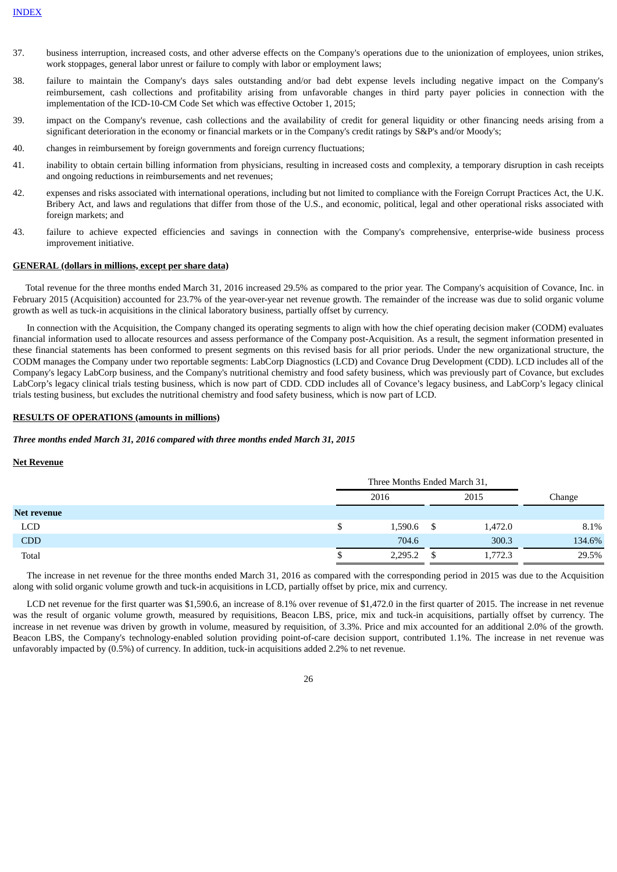- 37. business interruption, increased costs, and other adverse effects on the Company's operations due to the unionization of employees, union strikes, work stoppages, general labor unrest or failure to comply with labor or employment laws;
- 38. failure to maintain the Company's days sales outstanding and/or bad debt expense levels including negative impact on the Company's reimbursement, cash collections and profitability arising from unfavorable changes in third party payer policies in connection with the implementation of the ICD-10-CM Code Set which was effective October 1, 2015;
- 39. impact on the Company's revenue, cash collections and the availability of credit for general liquidity or other financing needs arising from a significant deterioration in the economy or financial markets or in the Company's credit ratings by S&P's and/or Moody's;
- 40. changes in reimbursement by foreign governments and foreign currency fluctuations;
- 41. inability to obtain certain billing information from physicians, resulting in increased costs and complexity, a temporary disruption in cash receipts and ongoing reductions in reimbursements and net revenues;
- 42. expenses and risks associated with international operations, including but not limited to compliance with the Foreign Corrupt Practices Act, the U.K. Bribery Act, and laws and regulations that differ from those of the U.S., and economic, political, legal and other operational risks associated with foreign markets; and
- 43. failure to achieve expected efficiencies and savings in connection with the Company's comprehensive, enterprise-wide business process improvement initiative.

### **GENERAL (dollars in millions, except per share data)**

Total revenue for the three months ended March 31, 2016 increased 29.5% as compared to the prior year. The Company's acquisition of Covance, Inc. in February 2015 (Acquisition) accounted for 23.7% of the year-over-year net revenue growth. The remainder of the increase was due to solid organic volume growth as well as tuck-in acquisitions in the clinical laboratory business, partially offset by currency.

In connection with the Acquisition, the Company changed its operating segments to align with how the chief operating decision maker (CODM) evaluates financial information used to allocate resources and assess performance of the Company post-Acquisition. As a result, the segment information presented in these financial statements has been conformed to present segments on this revised basis for all prior periods. Under the new organizational structure, the CODM manages the Company under two reportable segments: LabCorp Diagnostics (LCD) and Covance Drug Development (CDD). LCD includes all of the Company's legacy LabCorp business, and the Company's nutritional chemistry and food safety business, which was previously part of Covance, but excludes LabCorp's legacy clinical trials testing business, which is now part of CDD. CDD includes all of Covance's legacy business, and LabCorp's legacy clinical trials testing business, but excludes the nutritional chemistry and food safety business, which is now part of LCD.

### **RESULTS OF OPERATIONS (amounts in millions)**

### *Three months ended March 31, 2016 compared with three months ended March 31, 2015*

### **Net Revenue**

|                    |   | Three Months Ended March 31, |  |         |        |  |
|--------------------|---|------------------------------|--|---------|--------|--|
|                    |   | 2016                         |  | 2015    | Change |  |
| <b>Net revenue</b> |   |                              |  |         |        |  |
| <b>LCD</b>         | S | 1,590.6                      |  | 1,472.0 | 8.1%   |  |
| <b>CDD</b>         |   | 704.6                        |  | 300.3   | 134.6% |  |
| Total              |   | 2,295.2                      |  | 1,772.3 | 29.5%  |  |

The increase in net revenue for the three months ended March 31, 2016 as compared with the corresponding period in 2015 was due to the Acquisition along with solid organic volume growth and tuck-in acquisitions in LCD, partially offset by price, mix and currency.

LCD net revenue for the first quarter was \$1,590.6, an increase of 8.1% over revenue of \$1,472.0 in the first quarter of 2015. The increase in net revenue was the result of organic volume growth, measured by requisitions, Beacon LBS, price, mix and tuck-in acquisitions, partially offset by currency. The increase in net revenue was driven by growth in volume, measured by requisition, of 3.3%. Price and mix accounted for an additional 2.0% of the growth. Beacon LBS, the Company's technology-enabled solution providing point-of-care decision support, contributed 1.1%. The increase in net revenue was unfavorably impacted by (0.5%) of currency. In addition, tuck-in acquisitions added 2.2% to net revenue.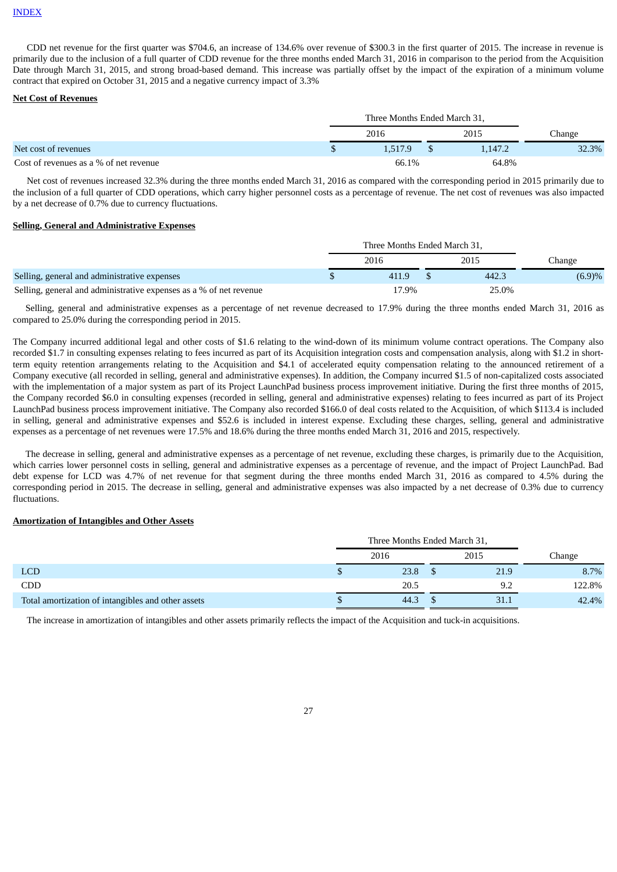CDD net revenue for the first quarter was \$704.6, an increase of 134.6% over revenue of \$300.3 in the first quarter of 2015. The increase in revenue is primarily due to the inclusion of a full quarter of CDD revenue for the three months ended March 31, 2016 in comparison to the period from the Acquisition Date through March 31, 2015, and strong broad-based demand. This increase was partially offset by the impact of the expiration of a minimum volume contract that expired on October 31, 2015 and a negative currency impact of 3.3%

### **Net Cost of Revenues**

|                                        |  | Three Months Ended March 31, |  |         |               |  |
|----------------------------------------|--|------------------------------|--|---------|---------------|--|
|                                        |  | 2016                         |  | 2015    | <b>Change</b> |  |
| Net cost of revenues                   |  | 1.517.9                      |  | 1.147.2 | 32.3%         |  |
| Cost of revenues as a % of net revenue |  | 66.1%                        |  | 64.8%   |               |  |

Net cost of revenues increased 32.3% during the three months ended March 31, 2016 as compared with the corresponding period in 2015 primarily due to the inclusion of a full quarter of CDD operations, which carry higher personnel costs as a percentage of revenue. The net cost of revenues was also impacted by a net decrease of 0.7% due to currency fluctuations.

### **Selling, General and Administrative Expenses**

|                                                                    |      | Three Months Ended March 31, |  |       |        |  |
|--------------------------------------------------------------------|------|------------------------------|--|-------|--------|--|
|                                                                    | 2016 |                              |  | 2015  | Change |  |
| Selling, general and administrative expenses                       |      | 411.9                        |  | 442.3 | (6.9)% |  |
| Selling, general and administrative expenses as a % of net revenue |      | 17.9%                        |  | 25.0% |        |  |

Selling, general and administrative expenses as a percentage of net revenue decreased to 17.9% during the three months ended March 31, 2016 as compared to 25.0% during the corresponding period in 2015.

The Company incurred additional legal and other costs of \$1.6 relating to the wind-down of its minimum volume contract operations. The Company also recorded \$1.7 in consulting expenses relating to fees incurred as part of its Acquisition integration costs and compensation analysis, along with \$1.2 in shortterm equity retention arrangements relating to the Acquisition and \$4.1 of accelerated equity compensation relating to the announced retirement of a Company executive (all recorded in selling, general and administrative expenses). In addition, the Company incurred \$1.5 of non-capitalized costs associated with the implementation of a major system as part of its Project LaunchPad business process improvement initiative. During the first three months of 2015, the Company recorded \$6.0 in consulting expenses (recorded in selling, general and administrative expenses) relating to fees incurred as part of its Project LaunchPad business process improvement initiative. The Company also recorded \$166.0 of deal costs related to the Acquisition, of which \$113.4 is included in selling, general and administrative expenses and \$52.6 is included in interest expense. Excluding these charges, selling, general and administrative expenses as a percentage of net revenues were 17.5% and 18.6% during the three months ended March 31, 2016 and 2015, respectively.

The decrease in selling, general and administrative expenses as a percentage of net revenue, excluding these charges, is primarily due to the Acquisition, which carries lower personnel costs in selling, general and administrative expenses as a percentage of revenue, and the impact of Project LaunchPad. Bad debt expense for LCD was 4.7% of net revenue for that segment during the three months ended March 31, 2016 as compared to 4.5% during the corresponding period in 2015. The decrease in selling, general and administrative expenses was also impacted by a net decrease of 0.3% due to currency fluctuations.

### **Amortization of Intangibles and Other Assets**

|                                                    | Three Months Ended March 31, |      |        |
|----------------------------------------------------|------------------------------|------|--------|
|                                                    | 2016                         | 2015 | Change |
| LCD                                                | 23.8                         | 21.9 | 8.7%   |
| <b>CDD</b>                                         | 20.5                         | 9.2  | 122.8% |
| Total amortization of intangibles and other assets | 44.3                         | 31.1 | 42.4%  |

The increase in amortization of intangibles and other assets primarily reflects the impact of the Acquisition and tuck-in acquisitions.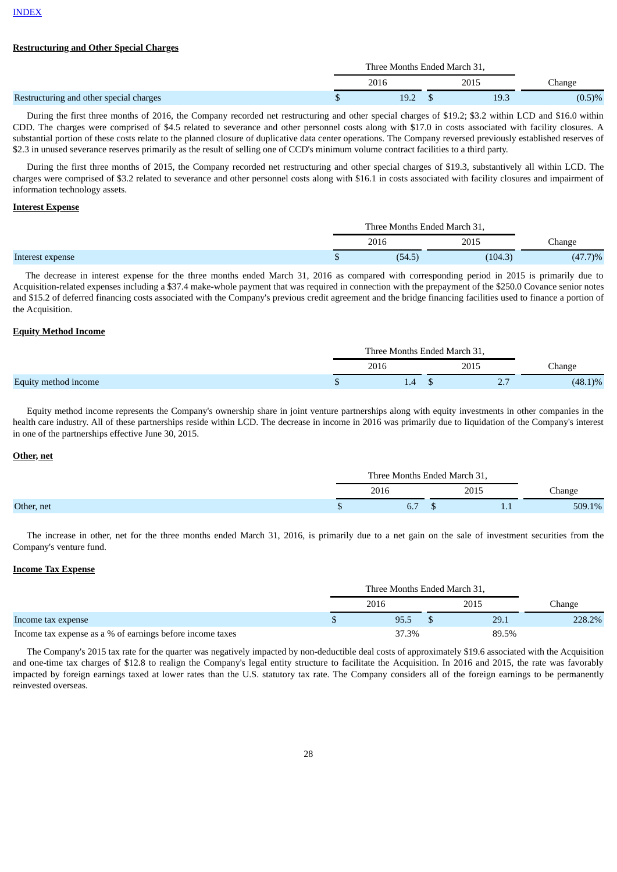## **Restructuring and Other Special Charges**

|                                         | Three Months Ended March 31. |                |        |
|-----------------------------------------|------------------------------|----------------|--------|
|                                         | 2016                         | ⊐ ר∩ר<br>40 L. | `hange |
| Restructuring and other special charges | 10 <sup>o</sup><br>10.L      | ں دی ہے        | (0.5)% |

During the first three months of 2016, the Company recorded net restructuring and other special charges of \$19.2; \$3.2 within LCD and \$16.0 within CDD. The charges were comprised of \$4.5 related to severance and other personnel costs along with \$17.0 in costs associated with facility closures. A substantial portion of these costs relate to the planned closure of duplicative data center operations. The Company reversed previously established reserves of \$2.3 in unused severance reserves primarily as the result of selling one of CCD's minimum volume contract facilities to a third party.

During the first three months of 2015, the Company recorded net restructuring and other special charges of \$19.3, substantively all within LCD. The charges were comprised of \$3.2 related to severance and other personnel costs along with \$16.1 in costs associated with facility closures and impairment of information technology assets.

#### **Interest Expense**

|                  | Three Months Ended March 31, |         |               |
|------------------|------------------------------|---------|---------------|
|                  | 2016                         | 2015    | <b>Change</b> |
| Interest expense | (54.5)                       | (104.3) | $(47.7)\%$    |

The decrease in interest expense for the three months ended March 31, 2016 as compared with corresponding period in 2015 is primarily due to Acquisition-related expenses including a \$37.4 make-whole payment that was required in connection with the prepayment of the \$250.0 Covance senior notes and \$15.2 of deferred financing costs associated with the Company's previous credit agreement and the bridge financing facilities used to finance a portion of the Acquisition.

### **Equity Method Income**

|  | Three Months Ended March 31, |                           |            |  |
|--|------------------------------|---------------------------|------------|--|
|  | 2016                         | 2015                      | hange.     |  |
|  |                              | $\sim$ $\sim$<br>$\sim$ . | $(48.1)\%$ |  |

Equity method income represents the Company's ownership share in joint venture partnerships along with equity investments in other companies in the health care industry. All of these partnerships reside within LCD. The decrease in income in 2016 was primarily due to liquidation of the Company's interest in one of the partnerships effective June 30, 2015.

### **Other, net**

|                      |      | 2015 | <b>Change</b>                |
|----------------------|------|------|------------------------------|
| $\sim$ $\sim$<br>υ., |      | .    | 509.1%                       |
|                      | 2016 |      | Three Months Ended March 31. |

The increase in other, net for the three months ended March 31, 2016, is primarily due to a net gain on the sale of investment securities from the Company's venture fund.

#### **Income Tax Expense**

|                                                           |  | Three Months Ended March 31, |  |       |        |
|-----------------------------------------------------------|--|------------------------------|--|-------|--------|
|                                                           |  | 2016                         |  | 2015  | Change |
| Income tax expense                                        |  | 95.5                         |  | 29.1  | 228.2% |
| Income tax expense as a % of earnings before income taxes |  | 37.3%                        |  | 89.5% |        |

The Company's 2015 tax rate for the quarter was negatively impacted by non-deductible deal costs of approximately \$19.6 associated with the Acquisition and one-time tax charges of \$12.8 to realign the Company's legal entity structure to facilitate the Acquisition. In 2016 and 2015, the rate was favorably impacted by foreign earnings taxed at lower rates than the U.S. statutory tax rate. The Company considers all of the foreign earnings to be permanently reinvested overseas.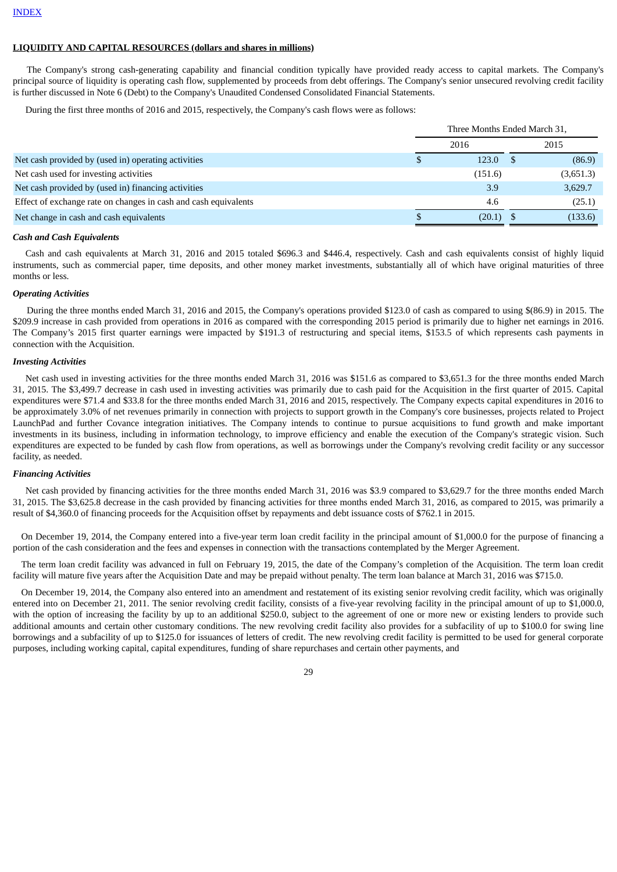### **LIQUIDITY AND CAPITAL RESOURCES (dollars and shares in millions)**

The Company's strong cash-generating capability and financial condition typically have provided ready access to capital markets. The Company's principal source of liquidity is operating cash flow, supplemented by proceeds from debt offerings. The Company's senior unsecured revolving credit facility is further discussed in Note 6 (Debt) to the Company's Unaudited Condensed Consolidated Financial Statements.

During the first three months of 2016 and 2015, respectively, the Company's cash flows were as follows:

|                                                                 | Three Months Ended March 31, |         |  |           |
|-----------------------------------------------------------------|------------------------------|---------|--|-----------|
|                                                                 |                              | 2016    |  | 2015      |
| Net cash provided by (used in) operating activities             |                              | 123.0   |  | (86.9)    |
| Net cash used for investing activities                          |                              | (151.6) |  | (3,651.3) |
| Net cash provided by (used in) financing activities             |                              | 3.9     |  | 3,629.7   |
| Effect of exchange rate on changes in cash and cash equivalents |                              | 4.6     |  | (25.1)    |
| Net change in cash and cash equivalents                         |                              | (20.1)  |  | (133.6)   |

#### *Cash and Cash Equivalents*

Cash and cash equivalents at March 31, 2016 and 2015 totaled \$696.3 and \$446.4, respectively. Cash and cash equivalents consist of highly liquid instruments, such as commercial paper, time deposits, and other money market investments, substantially all of which have original maturities of three months or less.

#### *Operating Activities*

During the three months ended March 31, 2016 and 2015, the Company's operations provided \$123.0 of cash as compared to using \$(86.9) in 2015. The \$209.9 increase in cash provided from operations in 2016 as compared with the corresponding 2015 period is primarily due to higher net earnings in 2016. The Company's 2015 first quarter earnings were impacted by \$191.3 of restructuring and special items, \$153.5 of which represents cash payments in connection with the Acquisition.

#### *Investing Activities*

Net cash used in investing activities for the three months ended March 31, 2016 was \$151.6 as compared to \$3,651.3 for the three months ended March 31, 2015. The \$3,499.7 decrease in cash used in investing activities was primarily due to cash paid for the Acquisition in the first quarter of 2015. Capital expenditures were \$71.4 and \$33.8 for the three months ended March 31, 2016 and 2015, respectively. The Company expects capital expenditures in 2016 to be approximately 3.0% of net revenues primarily in connection with projects to support growth in the Company's core businesses, projects related to Project LaunchPad and further Covance integration initiatives. The Company intends to continue to pursue acquisitions to fund growth and make important investments in its business, including in information technology, to improve efficiency and enable the execution of the Company's strategic vision. Such expenditures are expected to be funded by cash flow from operations, as well as borrowings under the Company's revolving credit facility or any successor facility, as needed.

### *Financing Activities*

Net cash provided by financing activities for the three months ended March 31, 2016 was \$3.9 compared to \$3,629.7 for the three months ended March 31, 2015. The \$3,625.8 decrease in the cash provided by financing activities for three months ended March 31, 2016, as compared to 2015, was primarily a result of \$4,360.0 of financing proceeds for the Acquisition offset by repayments and debt issuance costs of \$762.1 in 2015.

On December 19, 2014, the Company entered into a five-year term loan credit facility in the principal amount of \$1,000.0 for the purpose of financing a portion of the cash consideration and the fees and expenses in connection with the transactions contemplated by the Merger Agreement.

The term loan credit facility was advanced in full on February 19, 2015, the date of the Company's completion of the Acquisition. The term loan credit facility will mature five years after the Acquisition Date and may be prepaid without penalty. The term loan balance at March 31, 2016 was \$715.0.

On December 19, 2014, the Company also entered into an amendment and restatement of its existing senior revolving credit facility, which was originally entered into on December 21, 2011. The senior revolving credit facility, consists of a five-year revolving facility in the principal amount of up to \$1,000.0, with the option of increasing the facility by up to an additional \$250.0, subject to the agreement of one or more new or existing lenders to provide such additional amounts and certain other customary conditions. The new revolving credit facility also provides for a subfacility of up to \$100.0 for swing line borrowings and a subfacility of up to \$125.0 for issuances of letters of credit. The new revolving credit facility is permitted to be used for general corporate purposes, including working capital, capital expenditures, funding of share repurchases and certain other payments, and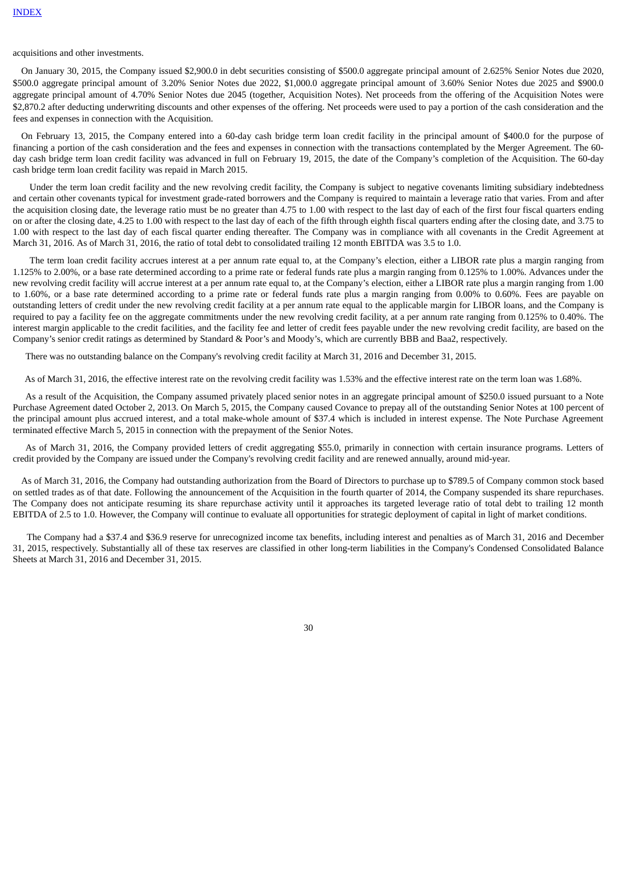acquisitions and other investments.

On January 30, 2015, the Company issued \$2,900.0 in debt securities consisting of \$500.0 aggregate principal amount of 2.625% Senior Notes due 2020, \$500.0 aggregate principal amount of 3.20% Senior Notes due 2022, \$1,000.0 aggregate principal amount of 3.60% Senior Notes due 2025 and \$900.0 aggregate principal amount of 4.70% Senior Notes due 2045 (together, Acquisition Notes). Net proceeds from the offering of the Acquisition Notes were \$2,870.2 after deducting underwriting discounts and other expenses of the offering. Net proceeds were used to pay a portion of the cash consideration and the fees and expenses in connection with the Acquisition.

On February 13, 2015, the Company entered into a 60-day cash bridge term loan credit facility in the principal amount of \$400.0 for the purpose of financing a portion of the cash consideration and the fees and expenses in connection with the transactions contemplated by the Merger Agreement. The 60 day cash bridge term loan credit facility was advanced in full on February 19, 2015, the date of the Company's completion of the Acquisition. The 60-day cash bridge term loan credit facility was repaid in March 2015.

Under the term loan credit facility and the new revolving credit facility, the Company is subject to negative covenants limiting subsidiary indebtedness and certain other covenants typical for investment grade-rated borrowers and the Company is required to maintain a leverage ratio that varies. From and after the acquisition closing date, the leverage ratio must be no greater than 4.75 to 1.00 with respect to the last day of each of the first four fiscal quarters ending on or after the closing date, 4.25 to 1.00 with respect to the last day of each of the fifth through eighth fiscal quarters ending after the closing date, and 3.75 to 1.00 with respect to the last day of each fiscal quarter ending thereafter. The Company was in compliance with all covenants in the Credit Agreement at March 31, 2016. As of March 31, 2016, the ratio of total debt to consolidated trailing 12 month EBITDA was 3.5 to 1.0.

The term loan credit facility accrues interest at a per annum rate equal to, at the Company's election, either a LIBOR rate plus a margin ranging from 1.125% to 2.00%, or a base rate determined according to a prime rate or federal funds rate plus a margin ranging from 0.125% to 1.00%. Advances under the new revolving credit facility will accrue interest at a per annum rate equal to, at the Company's election, either a LIBOR rate plus a margin ranging from 1.00 to 1.60%, or a base rate determined according to a prime rate or federal funds rate plus a margin ranging from 0.00% to 0.60%. Fees are payable on outstanding letters of credit under the new revolving credit facility at a per annum rate equal to the applicable margin for LIBOR loans, and the Company is required to pay a facility fee on the aggregate commitments under the new revolving credit facility, at a per annum rate ranging from 0.125% to 0.40%. The interest margin applicable to the credit facilities, and the facility fee and letter of credit fees payable under the new revolving credit facility, are based on the Company's senior credit ratings as determined by Standard & Poor's and Moody's, which are currently BBB and Baa2, respectively.

There was no outstanding balance on the Company's revolving credit facility at March 31, 2016 and December 31, 2015.

As of March 31, 2016, the effective interest rate on the revolving credit facility was 1.53% and the effective interest rate on the term loan was 1.68%.

As a result of the Acquisition, the Company assumed privately placed senior notes in an aggregate principal amount of \$250.0 issued pursuant to a Note Purchase Agreement dated October 2, 2013. On March 5, 2015, the Company caused Covance to prepay all of the outstanding Senior Notes at 100 percent of the principal amount plus accrued interest, and a total make-whole amount of \$37.4 which is included in interest expense. The Note Purchase Agreement terminated effective March 5, 2015 in connection with the prepayment of the Senior Notes.

As of March 31, 2016, the Company provided letters of credit aggregating \$55.0, primarily in connection with certain insurance programs. Letters of credit provided by the Company are issued under the Company's revolving credit facility and are renewed annually, around mid-year.

As of March 31, 2016, the Company had outstanding authorization from the Board of Directors to purchase up to \$789.5 of Company common stock based on settled trades as of that date. Following the announcement of the Acquisition in the fourth quarter of 2014, the Company suspended its share repurchases. The Company does not anticipate resuming its share repurchase activity until it approaches its targeted leverage ratio of total debt to trailing 12 month EBITDA of 2.5 to 1.0. However, the Company will continue to evaluate all opportunities for strategic deployment of capital in light of market conditions.

The Company had a \$37.4 and \$36.9 reserve for unrecognized income tax benefits, including interest and penalties as of March 31, 2016 and December 31, 2015, respectively. Substantially all of these tax reserves are classified in other long-term liabilities in the Company's Condensed Consolidated Balance Sheets at March 31, 2016 and December 31, 2015.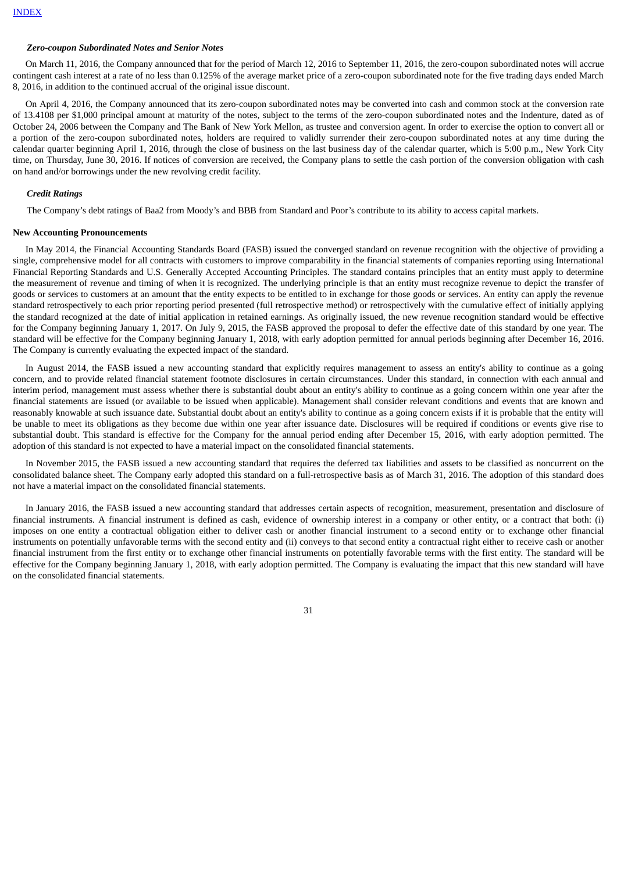#### *Zero-coupon Subordinated Notes and Senior Notes*

On March 11, 2016, the Company announced that for the period of March 12, 2016 to September 11, 2016, the zero-coupon subordinated notes will accrue contingent cash interest at a rate of no less than 0.125% of the average market price of a zero-coupon subordinated note for the five trading days ended March 8, 2016, in addition to the continued accrual of the original issue discount.

On April 4, 2016, the Company announced that its zero-coupon subordinated notes may be converted into cash and common stock at the conversion rate of 13.4108 per \$1,000 principal amount at maturity of the notes, subject to the terms of the zero-coupon subordinated notes and the Indenture, dated as of October 24, 2006 between the Company and The Bank of New York Mellon, as trustee and conversion agent. In order to exercise the option to convert all or a portion of the zero-coupon subordinated notes, holders are required to validly surrender their zero-coupon subordinated notes at any time during the calendar quarter beginning April 1, 2016, through the close of business on the last business day of the calendar quarter, which is 5:00 p.m., New York City time, on Thursday, June 30, 2016. If notices of conversion are received, the Company plans to settle the cash portion of the conversion obligation with cash on hand and/or borrowings under the new revolving credit facility.

#### *Credit Ratings*

The Company's debt ratings of Baa2 from Moody's and BBB from Standard and Poor's contribute to its ability to access capital markets.

#### **New Accounting Pronouncements**

In May 2014, the Financial Accounting Standards Board (FASB) issued the converged standard on revenue recognition with the objective of providing a single, comprehensive model for all contracts with customers to improve comparability in the financial statements of companies reporting using International Financial Reporting Standards and U.S. Generally Accepted Accounting Principles. The standard contains principles that an entity must apply to determine the measurement of revenue and timing of when it is recognized. The underlying principle is that an entity must recognize revenue to depict the transfer of goods or services to customers at an amount that the entity expects to be entitled to in exchange for those goods or services. An entity can apply the revenue standard retrospectively to each prior reporting period presented (full retrospective method) or retrospectively with the cumulative effect of initially applying the standard recognized at the date of initial application in retained earnings. As originally issued, the new revenue recognition standard would be effective for the Company beginning January 1, 2017. On July 9, 2015, the FASB approved the proposal to defer the effective date of this standard by one year. The standard will be effective for the Company beginning January 1, 2018, with early adoption permitted for annual periods beginning after December 16, 2016. The Company is currently evaluating the expected impact of the standard.

In August 2014, the FASB issued a new accounting standard that explicitly requires management to assess an entity's ability to continue as a going concern, and to provide related financial statement footnote disclosures in certain circumstances. Under this standard, in connection with each annual and interim period, management must assess whether there is substantial doubt about an entity's ability to continue as a going concern within one year after the financial statements are issued (or available to be issued when applicable). Management shall consider relevant conditions and events that are known and reasonably knowable at such issuance date. Substantial doubt about an entity's ability to continue as a going concern exists if it is probable that the entity will be unable to meet its obligations as they become due within one year after issuance date. Disclosures will be required if conditions or events give rise to substantial doubt. This standard is effective for the Company for the annual period ending after December 15, 2016, with early adoption permitted. The adoption of this standard is not expected to have a material impact on the consolidated financial statements.

In November 2015, the FASB issued a new accounting standard that requires the deferred tax liabilities and assets to be classified as noncurrent on the consolidated balance sheet. The Company early adopted this standard on a full-retrospective basis as of March 31, 2016. The adoption of this standard does not have a material impact on the consolidated financial statements.

In January 2016, the FASB issued a new accounting standard that addresses certain aspects of recognition, measurement, presentation and disclosure of financial instruments. A financial instrument is defined as cash, evidence of ownership interest in a company or other entity, or a contract that both: (i) imposes on one entity a contractual obligation either to deliver cash or another financial instrument to a second entity or to exchange other financial instruments on potentially unfavorable terms with the second entity and (ii) conveys to that second entity a contractual right either to receive cash or another financial instrument from the first entity or to exchange other financial instruments on potentially favorable terms with the first entity. The standard will be effective for the Company beginning January 1, 2018, with early adoption permitted. The Company is evaluating the impact that this new standard will have on the consolidated financial statements.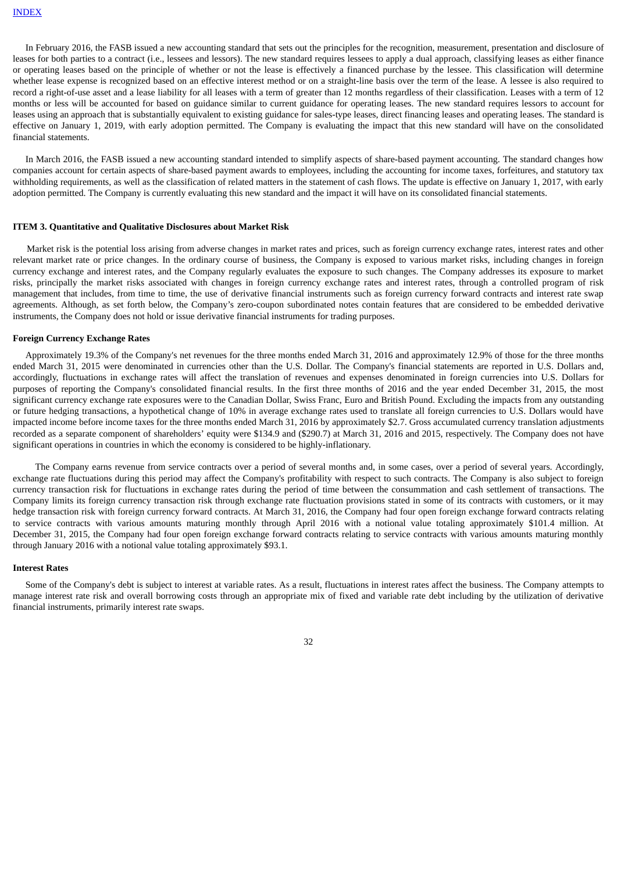In February 2016, the FASB issued a new accounting standard that sets out the principles for the recognition, measurement, presentation and disclosure of leases for both parties to a contract (i.e., lessees and lessors). The new standard requires lessees to apply a dual approach, classifying leases as either finance or operating leases based on the principle of whether or not the lease is effectively a financed purchase by the lessee. This classification will determine whether lease expense is recognized based on an effective interest method or on a straight-line basis over the term of the lease. A lessee is also required to record a right-of-use asset and a lease liability for all leases with a term of greater than 12 months regardless of their classification. Leases with a term of 12 months or less will be accounted for based on guidance similar to current guidance for operating leases. The new standard requires lessors to account for leases using an approach that is substantially equivalent to existing guidance for sales-type leases, direct financing leases and operating leases. The standard is effective on January 1, 2019, with early adoption permitted. The Company is evaluating the impact that this new standard will have on the consolidated financial statements.

In March 2016, the FASB issued a new accounting standard intended to simplify aspects of share-based payment accounting. The standard changes how companies account for certain aspects of share-based payment awards to employees, including the accounting for income taxes, forfeitures, and statutory tax withholding requirements, as well as the classification of related matters in the statement of cash flows. The update is effective on January 1, 2017, with early adoption permitted. The Company is currently evaluating this new standard and the impact it will have on its consolidated financial statements.

### <span id="page-32-0"></span>**ITEM 3. Quantitative and Qualitative Disclosures about Market Risk**

Market risk is the potential loss arising from adverse changes in market rates and prices, such as foreign currency exchange rates, interest rates and other relevant market rate or price changes. In the ordinary course of business, the Company is exposed to various market risks, including changes in foreign currency exchange and interest rates, and the Company regularly evaluates the exposure to such changes. The Company addresses its exposure to market risks, principally the market risks associated with changes in foreign currency exchange rates and interest rates, through a controlled program of risk management that includes, from time to time, the use of derivative financial instruments such as foreign currency forward contracts and interest rate swap agreements. Although, as set forth below, the Company's zero-coupon subordinated notes contain features that are considered to be embedded derivative instruments, the Company does not hold or issue derivative financial instruments for trading purposes.

#### **Foreign Currency Exchange Rates**

Approximately 19.3% of the Company's net revenues for the three months ended March 31, 2016 and approximately 12.9% of those for the three months ended March 31, 2015 were denominated in currencies other than the U.S. Dollar. The Company's financial statements are reported in U.S. Dollars and, accordingly, fluctuations in exchange rates will affect the translation of revenues and expenses denominated in foreign currencies into U.S. Dollars for purposes of reporting the Company's consolidated financial results. In the first three months of 2016 and the year ended December 31, 2015, the most significant currency exchange rate exposures were to the Canadian Dollar, Swiss Franc, Euro and British Pound. Excluding the impacts from any outstanding or future hedging transactions, a hypothetical change of 10% in average exchange rates used to translate all foreign currencies to U.S. Dollars would have impacted income before income taxes for the three months ended March 31, 2016 by approximately \$2.7. Gross accumulated currency translation adjustments recorded as a separate component of shareholders' equity were \$134.9 and (\$290.7) at March 31, 2016 and 2015, respectively. The Company does not have significant operations in countries in which the economy is considered to be highly-inflationary.

The Company earns revenue from service contracts over a period of several months and, in some cases, over a period of several years. Accordingly, exchange rate fluctuations during this period may affect the Company's profitability with respect to such contracts. The Company is also subject to foreign currency transaction risk for fluctuations in exchange rates during the period of time between the consummation and cash settlement of transactions. The Company limits its foreign currency transaction risk through exchange rate fluctuation provisions stated in some of its contracts with customers, or it may hedge transaction risk with foreign currency forward contracts. At March 31, 2016, the Company had four open foreign exchange forward contracts relating to service contracts with various amounts maturing monthly through April 2016 with a notional value totaling approximately \$101.4 million. At December 31, 2015, the Company had four open foreign exchange forward contracts relating to service contracts with various amounts maturing monthly through January 2016 with a notional value totaling approximately \$93.1.

#### **Interest Rates**

Some of the Company's debt is subject to interest at variable rates. As a result, fluctuations in interest rates affect the business. The Company attempts to manage interest rate risk and overall borrowing costs through an appropriate mix of fixed and variable rate debt including by the utilization of derivative financial instruments, primarily interest rate swaps.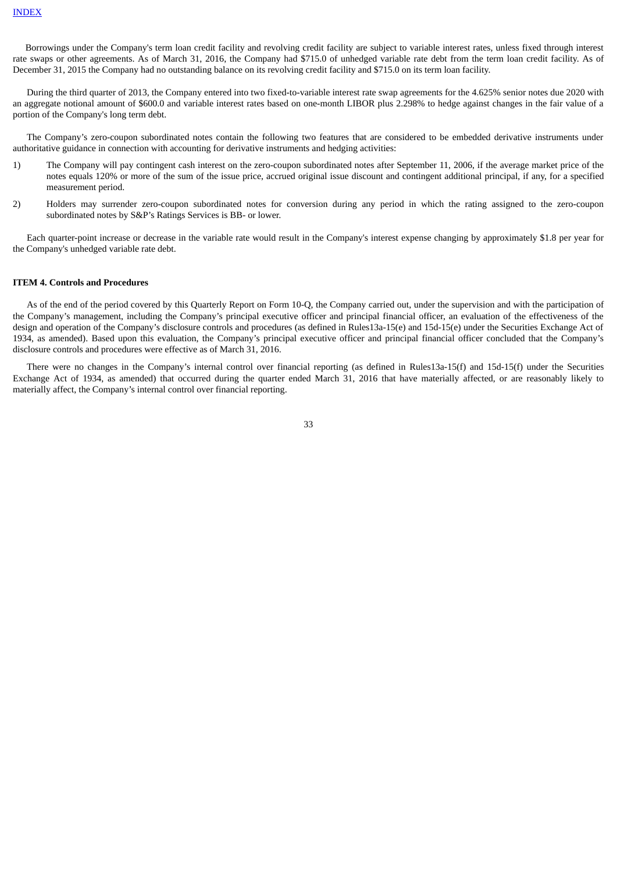Borrowings under the Company's term loan credit facility and revolving credit facility are subject to variable interest rates, unless fixed through interest rate swaps or other agreements. As of March 31, 2016, the Company had \$715.0 of unhedged variable rate debt from the term loan credit facility. As of December 31, 2015 the Company had no outstanding balance on its revolving credit facility and \$715.0 on its term loan facility.

During the third quarter of 2013, the Company entered into two fixed-to-variable interest rate swap agreements for the 4.625% senior notes due 2020 with an aggregate notional amount of \$600.0 and variable interest rates based on one-month LIBOR plus 2.298% to hedge against changes in the fair value of a portion of the Company's long term debt.

The Company's zero-coupon subordinated notes contain the following two features that are considered to be embedded derivative instruments under authoritative guidance in connection with accounting for derivative instruments and hedging activities:

- 1) The Company will pay contingent cash interest on the zero-coupon subordinated notes after September 11, 2006, if the average market price of the notes equals 120% or more of the sum of the issue price, accrued original issue discount and contingent additional principal, if any, for a specified measurement period.
- 2) Holders may surrender zero-coupon subordinated notes for conversion during any period in which the rating assigned to the zero-coupon subordinated notes by S&P's Ratings Services is BB- or lower.

Each quarter-point increase or decrease in the variable rate would result in the Company's interest expense changing by approximately \$1.8 per year for the Company's unhedged variable rate debt.

### <span id="page-33-0"></span>**ITEM 4. Controls and Procedures**

As of the end of the period covered by this Quarterly Report on Form 10-Q, the Company carried out, under the supervision and with the participation of the Company's management, including the Company's principal executive officer and principal financial officer, an evaluation of the effectiveness of the design and operation of the Company's disclosure controls and procedures (as defined in Rules13a-15(e) and 15d-15(e) under the Securities Exchange Act of 1934, as amended). Based upon this evaluation, the Company's principal executive officer and principal financial officer concluded that the Company's disclosure controls and procedures were effective as of March 31, 2016.

There were no changes in the Company's internal control over financial reporting (as defined in Rules13a-15(f) and 15d-15(f) under the Securities Exchange Act of 1934, as amended) that occurred during the quarter ended March 31, 2016 that have materially affected, or are reasonably likely to materially affect, the Company's internal control over financial reporting.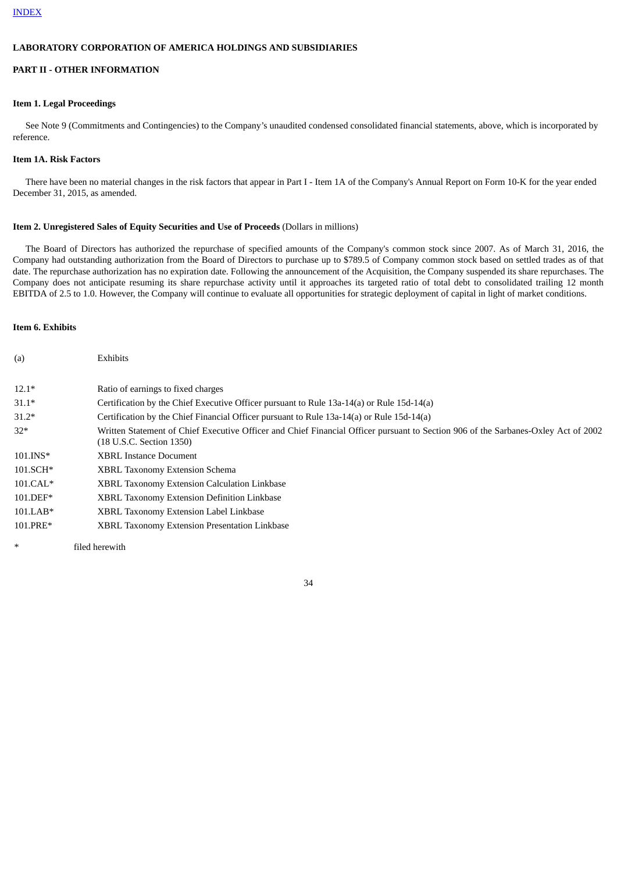# **LABORATORY CORPORATION OF AMERICA HOLDINGS AND SUBSIDIARIES**

# **PART II - OTHER INFORMATION**

#### <span id="page-34-0"></span>**Item 1. Legal Proceedings**

See Note 9 (Commitments and Contingencies) to the Company's unaudited condensed consolidated financial statements, above, which is incorporated by reference.

### <span id="page-34-1"></span>**Item 1A. Risk Factors**

There have been no material changes in the risk factors that appear in Part I - Item 1A of the Company's Annual Report on Form 10-K for the year ended December 31, 2015, as amended.

### <span id="page-34-2"></span>**Item 2. Unregistered Sales of Equity Securities and Use of Proceeds** (Dollars in millions)

The Board of Directors has authorized the repurchase of specified amounts of the Company's common stock since 2007. As of March 31, 2016, the Company had outstanding authorization from the Board of Directors to purchase up to \$789.5 of Company common stock based on settled trades as of that date. The repurchase authorization has no expiration date. Following the announcement of the Acquisition, the Company suspended its share repurchases. The Company does not anticipate resuming its share repurchase activity until it approaches its targeted ratio of total debt to consolidated trailing 12 month EBITDA of 2.5 to 1.0. However, the Company will continue to evaluate all opportunities for strategic deployment of capital in light of market conditions.

# <span id="page-34-3"></span>**Item 6. Exhibits**

| (a)        | Exhibits                                                                                                                                                       |
|------------|----------------------------------------------------------------------------------------------------------------------------------------------------------------|
| $12.1*$    | Ratio of earnings to fixed charges                                                                                                                             |
| $31.1*$    | Certification by the Chief Executive Officer pursuant to Rule 13a-14(a) or Rule 15d-14(a)                                                                      |
| $31.2*$    | Certification by the Chief Financial Officer pursuant to Rule 13a-14(a) or Rule 15d-14(a)                                                                      |
| $32*$      | Written Statement of Chief Executive Officer and Chief Financial Officer pursuant to Section 906 of the Sarbanes-Oxley Act of 2002<br>(18 U.S.C. Section 1350) |
| 101.INS*   | <b>XBRL Instance Document</b>                                                                                                                                  |
| 101.SCH*   | <b>XBRL Taxonomy Extension Schema</b>                                                                                                                          |
| $101.CAL*$ | <b>XBRL Taxonomy Extension Calculation Linkbase</b>                                                                                                            |
| 101.DEF*   | <b>XBRL Taxonomy Extension Definition Linkbase</b>                                                                                                             |
| $101.LAB*$ | XBRL Taxonomy Extension Label Linkbase                                                                                                                         |
| 101.PRE*   | <b>XBRL Taxonomy Extension Presentation Linkbase</b>                                                                                                           |
| $\ast$     | filed herewith                                                                                                                                                 |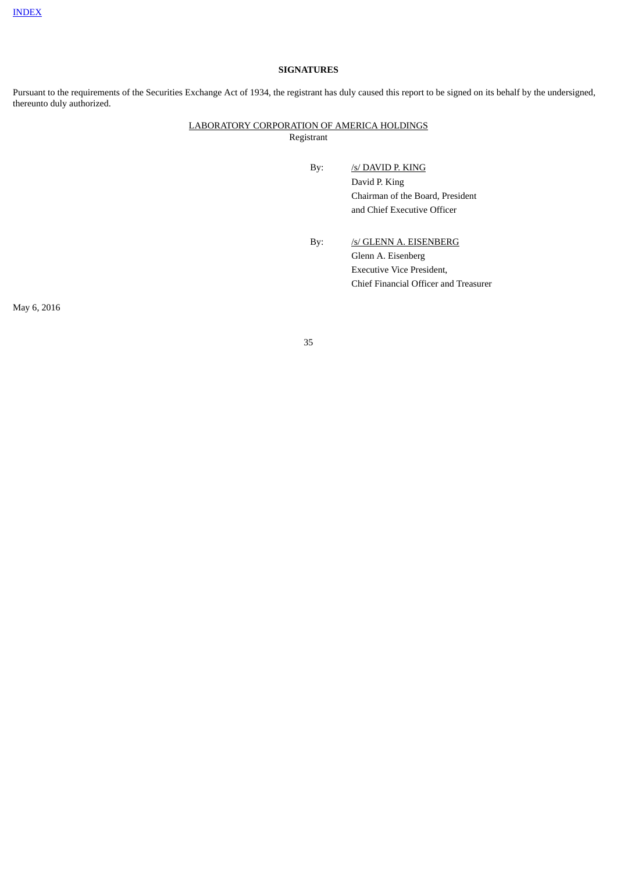## **SIGNATURES**

Pursuant to the requirements of the Securities Exchange Act of 1934, the registrant has duly caused this report to be signed on its behalf by the undersigned, thereunto duly authorized.

# LABORATORY CORPORATION OF AMERICA HOLDINGS Registrant

- By: /s/ DAVID P. KING David P. King Chairman of the Board, President and Chief Executive Officer
- By: /s/ GLENN A. EISENBERG Glenn A. Eisenberg Executive Vice President, Chief Financial Officer and Treasurer

May 6, 2016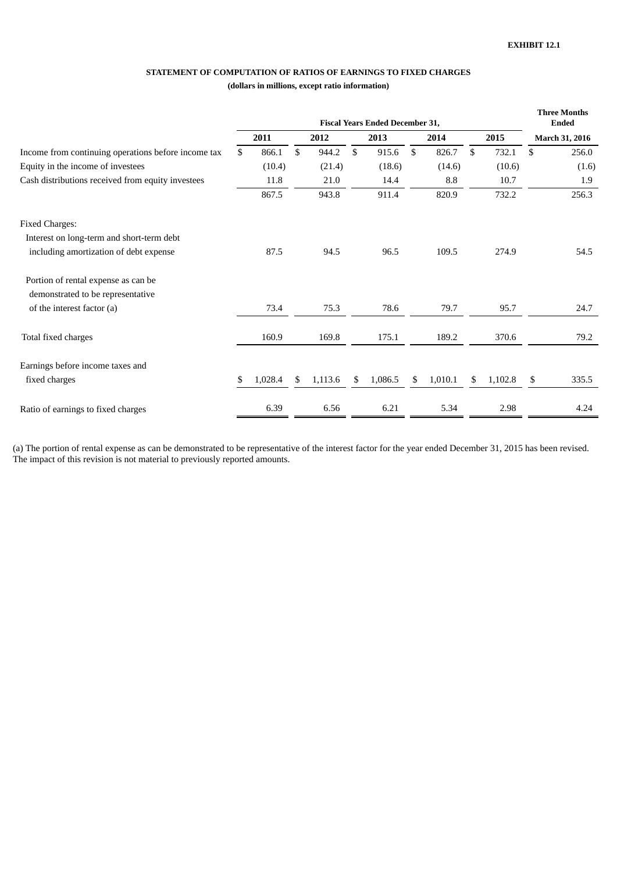# **STATEMENT OF COMPUTATION OF RATIOS OF EARNINGS TO FIXED CHARGES (dollars in millions, except ratio information)**

|                                                     |    | <b>Fiscal Years Ended December 31,</b> |    |         |    |         |    |         |              |         |    | <b>Three Months</b><br><b>Ended</b> |  |
|-----------------------------------------------------|----|----------------------------------------|----|---------|----|---------|----|---------|--------------|---------|----|-------------------------------------|--|
|                                                     |    | 2011                                   |    | 2012    |    | 2013    |    | 2014    |              | 2015    |    | March 31, 2016                      |  |
| Income from continuing operations before income tax | \$ | 866.1                                  | \$ | 944.2   | \$ | 915.6   | \$ | 826.7   | $\mathbb{S}$ | 732.1   | \$ | 256.0                               |  |
| Equity in the income of investees                   |    | (10.4)                                 |    | (21.4)  |    | (18.6)  |    | (14.6)  |              | (10.6)  |    | (1.6)                               |  |
| Cash distributions received from equity investees   |    | 11.8                                   |    | 21.0    |    | 14.4    |    | 8.8     |              | 10.7    |    | 1.9                                 |  |
|                                                     |    | 867.5                                  |    | 943.8   |    | 911.4   |    | 820.9   |              | 732.2   |    | 256.3                               |  |
| <b>Fixed Charges:</b>                               |    |                                        |    |         |    |         |    |         |              |         |    |                                     |  |
| Interest on long-term and short-term debt           |    |                                        |    |         |    |         |    |         |              |         |    |                                     |  |
| including amortization of debt expense              |    | 87.5                                   |    | 94.5    |    | 96.5    |    | 109.5   |              | 274.9   |    | 54.5                                |  |
| Portion of rental expense as can be                 |    |                                        |    |         |    |         |    |         |              |         |    |                                     |  |
| demonstrated to be representative                   |    |                                        |    |         |    |         |    |         |              |         |    |                                     |  |
| of the interest factor (a)                          |    | 73.4                                   |    | 75.3    |    | 78.6    |    | 79.7    |              | 95.7    |    | 24.7                                |  |
| Total fixed charges                                 |    | 160.9                                  |    | 169.8   |    | 175.1   |    | 189.2   |              | 370.6   |    | 79.2                                |  |
| Earnings before income taxes and                    |    |                                        |    |         |    |         |    |         |              |         |    |                                     |  |
| fixed charges                                       | \$ | 1,028.4                                | \$ | 1,113.6 | \$ | 1,086.5 | \$ | 1,010.1 | \$           | 1,102.8 | \$ | 335.5                               |  |
| Ratio of earnings to fixed charges                  |    | 6.39                                   |    | 6.56    |    | 6.21    |    | 5.34    |              | 2.98    |    | 4.24                                |  |

(a) The portion of rental expense as can be demonstrated to be representative of the interest factor for the year ended December 31, 2015 has been revised. The impact of this revision is not material to previously reported amounts.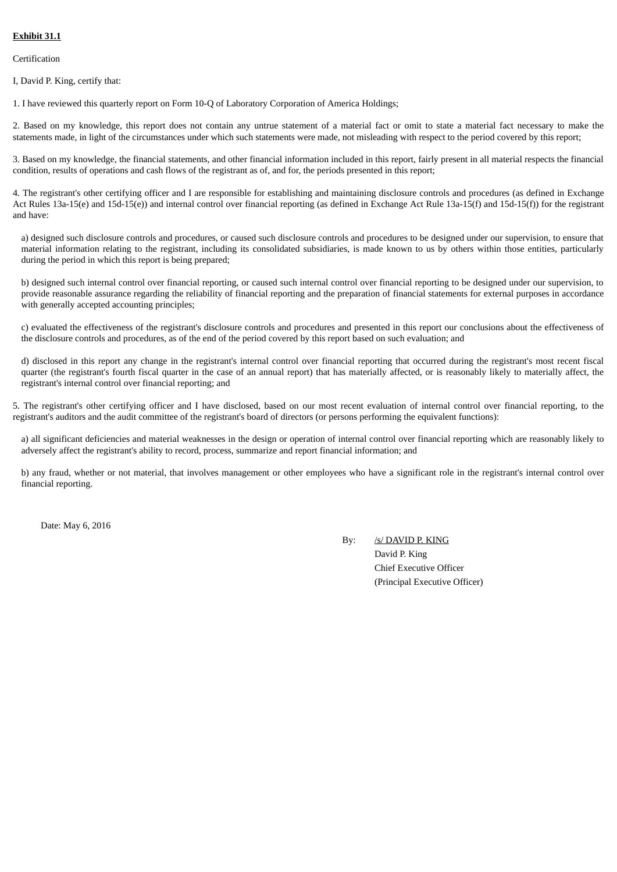# **Exhibit 31.1**

Certification

I, David P. King, certify that:

1. I have reviewed this quarterly report on Form 10-Q of Laboratory Corporation of America Holdings;

2. Based on my knowledge, this report does not contain any untrue statement of a material fact or omit to state a material fact necessary to make the statements made, in light of the circumstances under which such statements were made, not misleading with respect to the period covered by this report;

3. Based on my knowledge, the financial statements, and other financial information included in this report, fairly present in all material respects the financial condition, results of operations and cash flows of the registrant as of, and for, the periods presented in this report;

4. The registrant's other certifying officer and I are responsible for establishing and maintaining disclosure controls and procedures (as defined in Exchange Act Rules 13a-15(e) and 15d-15(e)) and internal control over financial reporting (as defined in Exchange Act Rule 13a-15(f) and 15d-15(f)) for the registrant and have:

a) designed such disclosure controls and procedures, or caused such disclosure controls and procedures to be designed under our supervision, to ensure that material information relating to the registrant, including its consolidated subsidiaries, is made known to us by others within those entities, particularly during the period in which this report is being prepared;

b) designed such internal control over financial reporting, or caused such internal control over financial reporting to be designed under our supervision, to provide reasonable assurance regarding the reliability of financial reporting and the preparation of financial statements for external purposes in accordance with generally accepted accounting principles;

c) evaluated the effectiveness of the registrant's disclosure controls and procedures and presented in this report our conclusions about the effectiveness of the disclosure controls and procedures, as of the end of the period covered by this report based on such evaluation; and

d) disclosed in this report any change in the registrant's internal control over financial reporting that occurred during the registrant's most recent fiscal quarter (the registrant's fourth fiscal quarter in the case of an annual report) that has materially affected, or is reasonably likely to materially affect, the registrant's internal control over financial reporting; and

5. The registrant's other certifying officer and I have disclosed, based on our most recent evaluation of internal control over financial reporting, to the registrant's auditors and the audit committee of the registrant's board of directors (or persons performing the equivalent functions):

a) all significant deficiencies and material weaknesses in the design or operation of internal control over financial reporting which are reasonably likely to adversely affect the registrant's ability to record, process, summarize and report financial information; and

b) any fraud, whether or not material, that involves management or other employees who have a significant role in the registrant's internal control over financial reporting.

Date: May 6, 2016

By: /s/ DAVID P. KING David P. King Chief Executive Officer (Principal Executive Officer)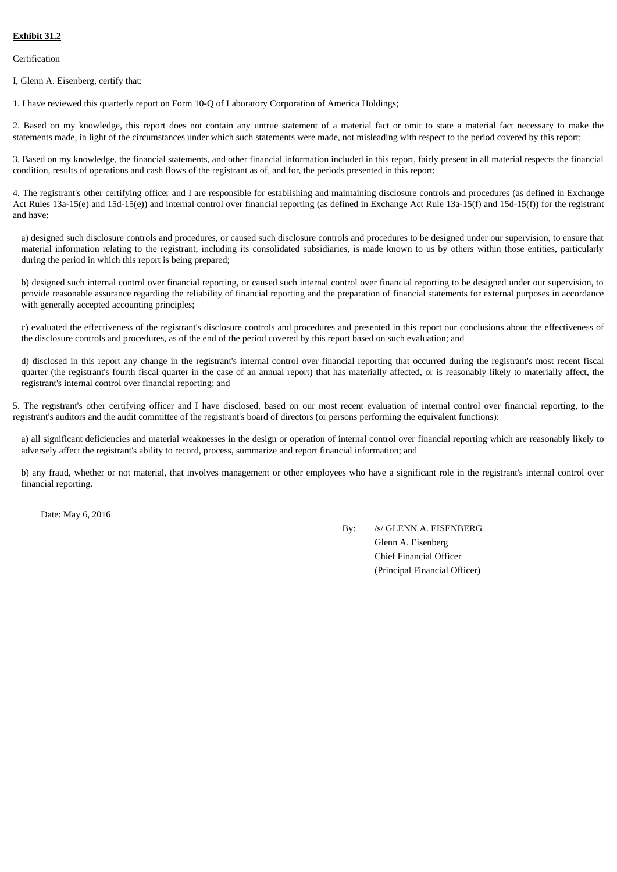# **Exhibit 31.2**

Certification

I, Glenn A. Eisenberg, certify that:

1. I have reviewed this quarterly report on Form 10-Q of Laboratory Corporation of America Holdings;

2. Based on my knowledge, this report does not contain any untrue statement of a material fact or omit to state a material fact necessary to make the statements made, in light of the circumstances under which such statements were made, not misleading with respect to the period covered by this report;

3. Based on my knowledge, the financial statements, and other financial information included in this report, fairly present in all material respects the financial condition, results of operations and cash flows of the registrant as of, and for, the periods presented in this report;

4. The registrant's other certifying officer and I are responsible for establishing and maintaining disclosure controls and procedures (as defined in Exchange Act Rules 13a-15(e) and 15d-15(e)) and internal control over financial reporting (as defined in Exchange Act Rule 13a-15(f) and 15d-15(f)) for the registrant and have:

a) designed such disclosure controls and procedures, or caused such disclosure controls and procedures to be designed under our supervision, to ensure that material information relating to the registrant, including its consolidated subsidiaries, is made known to us by others within those entities, particularly during the period in which this report is being prepared;

b) designed such internal control over financial reporting, or caused such internal control over financial reporting to be designed under our supervision, to provide reasonable assurance regarding the reliability of financial reporting and the preparation of financial statements for external purposes in accordance with generally accepted accounting principles;

c) evaluated the effectiveness of the registrant's disclosure controls and procedures and presented in this report our conclusions about the effectiveness of the disclosure controls and procedures, as of the end of the period covered by this report based on such evaluation; and

d) disclosed in this report any change in the registrant's internal control over financial reporting that occurred during the registrant's most recent fiscal quarter (the registrant's fourth fiscal quarter in the case of an annual report) that has materially affected, or is reasonably likely to materially affect, the registrant's internal control over financial reporting; and

5. The registrant's other certifying officer and I have disclosed, based on our most recent evaluation of internal control over financial reporting, to the registrant's auditors and the audit committee of the registrant's board of directors (or persons performing the equivalent functions):

a) all significant deficiencies and material weaknesses in the design or operation of internal control over financial reporting which are reasonably likely to adversely affect the registrant's ability to record, process, summarize and report financial information; and

b) any fraud, whether or not material, that involves management or other employees who have a significant role in the registrant's internal control over financial reporting.

Date: May 6, 2016

By: /s/ GLENN A. EISENBERG

Glenn A. Eisenberg Chief Financial Officer (Principal Financial Officer)